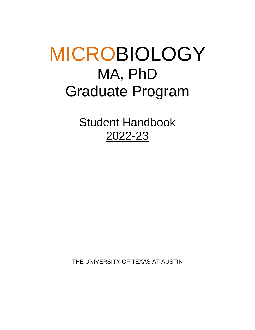# MICROBIOLOGY MA, PhD Graduate Program

**Student Handbook** 2022-23

THE UNIVERSITY OF TEXAS AT AUSTIN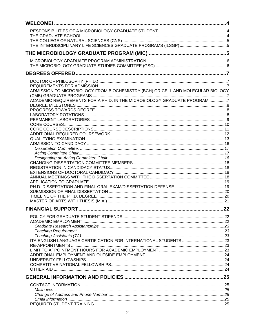| ADMISSION TO MICROBIOLOGY FROM BIOCHEMISTRY (BCH) OR CELL AND MOLECULAR BIOLOGY |  |
|---------------------------------------------------------------------------------|--|
|                                                                                 |  |
|                                                                                 |  |
|                                                                                 |  |
|                                                                                 |  |
|                                                                                 |  |
|                                                                                 |  |
|                                                                                 |  |
|                                                                                 |  |
|                                                                                 |  |
|                                                                                 |  |
|                                                                                 |  |
|                                                                                 |  |
|                                                                                 |  |
|                                                                                 |  |
|                                                                                 |  |
|                                                                                 |  |
|                                                                                 |  |
|                                                                                 |  |
|                                                                                 |  |
|                                                                                 |  |
|                                                                                 |  |
|                                                                                 |  |
|                                                                                 |  |
|                                                                                 |  |
|                                                                                 |  |
|                                                                                 |  |
|                                                                                 |  |
|                                                                                 |  |
|                                                                                 |  |
|                                                                                 |  |
|                                                                                 |  |
|                                                                                 |  |
|                                                                                 |  |
|                                                                                 |  |
|                                                                                 |  |
|                                                                                 |  |
|                                                                                 |  |
|                                                                                 |  |
|                                                                                 |  |
|                                                                                 |  |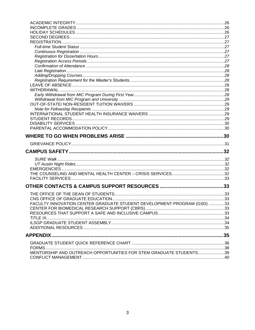| FACULTY INNOVATION CENTER GRADUATE STUDENT DEVELOPMENT PROGRAM (GSD) 33 |  |
|-------------------------------------------------------------------------|--|
|                                                                         |  |
|                                                                         |  |
|                                                                         |  |
|                                                                         |  |
| <b>APPENDIX.</b>                                                        |  |
|                                                                         |  |
|                                                                         |  |
| MENTORSHIP AND OUTREACH OPPORTUNITIES FOR STEM GRADUATE STUDENTS39      |  |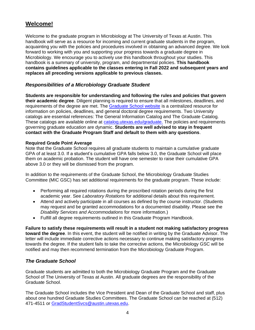# <span id="page-3-0"></span>**Welcome!**

Welcome to the graduate program in Microbiology at The University of Texas at Austin. This handbook will serve as a resource for incoming and current graduate students in the program, acquainting you with the policies and procedures involved in obtaining an advanced degree. We look forward to working with you and supporting your progress towards a graduate degree in Microbiology. We encourage you to actively use this handbook throughout your studies. This handbook is a summary of university, program, and departmental policies. **This handbook contains guidelines applicable to the classes entering in Fall 2022 and subsequent years and replaces all preceding versions applicable to previous classes.**

# <span id="page-3-1"></span>*Responsibilities of a Microbiology Graduate Student*

**Students are responsible for understanding and following the rules and policies that govern their academic degree**. Diligent planning is required to ensure that all milestones, deadlines, and requirements of the degree are met. The [Graduate School website](https://gradschool.utexas.edu/) is a centralized resource for information on policies, deadlines, and general doctoral degree requirements. Two University catalogs are essential references: The General Information Catalog and The Graduate Catalog. These catalogs are available online at [catalog.utexas.edu/graduate.](http://catalog.utexas.edu/graduate/) The policies and requirements governing graduate education are dynamic. **Students are well advised to stay in frequent contact with the Graduate Program Staff and default to them with any questions**.

# **Required Grade Point Average**

Note that the Graduate School requires all graduate students to maintain a cumulative graduate GPA of at least 3.0. If a student's cumulative GPA falls below 3.0, the Graduate School will place them on academic probation. The student will have one semester to raise their cumulative GPA above 3.0 or they will be dismissed from the program.

In addition to the requirements of the Graduate School, the Microbiology Graduate Studies Committee (MIC GSC) has set additional requirements for the graduate program. These include:

- Performing all required rotations during the proscribed rotation periods during the first academic year. See *Laboratory Rotations* for additional details about this requirement.
- Attend and actively participate in all courses as defined by the course instructor. (Students may request and be granted accommodations for a documented disability. Please see the *Disability Services and Accommodations* for more information.)
- Fulfill all degree requirements outlined in this Graduate Program Handbook.

**Failure to satisfy these requirements will result in a student not making satisfactory progress toward the degree**. In this event, the student will be notified in writing by the Graduate Advisor. The letter will include immediate corrective actions necessary to continue making satisfactory progress towards the degree. If the student fails to take the corrective actions, the Microbiology GSC will be notified and may then recommend termination from the Microbiology Graduate Program.

# <span id="page-3-2"></span>*The Graduate School*

Graduate students are admitted to both the Microbiology Graduate Program and the Graduate School of The University of Texas at Austin. All graduate degrees are the responsibility of the Graduate School.

The Graduate School includes the Vice President and Dean of the Graduate School and staff, plus about one hundred Graduate Studies Committees. The Graduate School can be reached at (512) 471-4511 or [GradStudentSvcs@austin.utexas.edu.](mailto:GradStudentSvcs@austin.utexas.edu)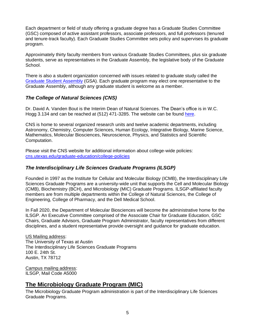Each department or field of study offering a graduate degree has a Graduate Studies Committee (GSC) composed of active assistant professors, associate professors, and full professors (tenured and tenure-track faculty). Each Graduate Studies Committee sets policy and supervises its graduate program.

Approximately thirty faculty members from various Graduate Studies Committees, plus six graduate students, serve as representatives in the Graduate Assembly, the legislative body of the Graduate School.

There is also a student organization concerned with issues related to graduate study called the [Graduate Student Assembly](http://www.utgsa.net/) (GSA). Each graduate program may elect one representative to the Graduate Assembly, although any graduate student is welcome as a member.

# <span id="page-4-0"></span>*The College of Natural Sciences (CNS)*

Dr. David A. Vanden Bout is the Interim Dean of Natural Sciences. The Dean's office is in W.C. Hogg 3.134 and can be reached at (512) 471-3285. The website can be found [here.](http://www.cns.utexas.edu/)

CNS is home to several organized research units and twelve academic departments, including Astronomy, Chemistry, Computer Sciences, Human Ecology, Integrative Biology, Marine Science, Mathematics, Molecular Biosciences, Neuroscience, Physics, and Statistics and Scientific Computation.

Please visit the CNS website for additional information about college-wide policies: [cns.utexas.edu/graduate-education/college-policies](https://cns.utexas.edu/graduate-education/college-policies)

# <span id="page-4-1"></span>*The Interdisciplinary Life Sciences Graduate Programs (ILSGP)*

Founded in 1997 as the Institute for Cellular and Molecular Biology (ICMB), the Interdisciplinary Life Sciences Graduate Programs are a university-wide unit that supports the Cell and Molecular Biology (CMB), Biochemistry (BCH), and Microbiology (MIC) Graduate Programs. ILSGP-affiliated faculty members are from multiple departments within the College of Natural Sciences, the College of Engineering, College of Pharmacy, and the Dell Medical School.

In Fall 2020, the Department of Molecular Biosciences will become the administrative home for the ILSGP. An Executive Committee comprised of the Associate Chair for Graduate Education, GSC Chairs, Graduate Advisors, Graduate Program Administrator, faculty representatives from different disciplines, and a student representative provide oversight and guidance for graduate education.

#### US Mailing address:

The University of Texas at Austin The Interdisciplinary Life Sciences Graduate Programs 100 E. 24th St. Austin, TX 78712

Campus mailing address: ILSGP, Mail Code A5000

# <span id="page-4-2"></span>**The Microbiology Graduate Program (MIC)**

The Microbiology Graduate Program administration is part of the Interdisciplinary Life Sciences Graduate Programs.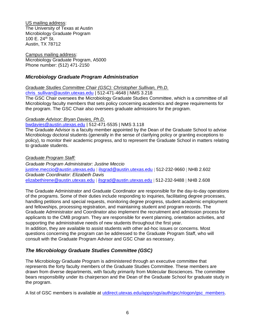US mailing address: The University of Texas at Austin Microbiology Graduate Program 100 E.  $24^{th}$  St. Austin, TX 78712

Campus mailing address: Microbiology Graduate Program, A5000 Phone number: (512) 471-2150

# <span id="page-5-0"></span>*Microbiology Graduate Program Administration*

*Graduate Studies Committee Chair (GSC): Christopher Sullivan, Ph.D.*

[chris\\_sullivan@austin.utexas.edu](mailto:chris_sullivan@austin.utexas.edu) | 512-471-4648 | NMS 3.218

The GSC Chair oversees the Microbiology Graduate Studies Committee, which is a committee of all Microbiology faculty members that sets policy concerning academics and degree requirements for the program. The GSC Chair also oversees graduate admissions for the program.

#### *Graduate Advisor: Bryan Davies, Ph.D.*

[bwdavies@austin.utexas.edu](mailto:chris_sullivan@mail.utexas.edu) | 512-471-5535 | NMS 3.118

The Graduate Advisor is a faculty member appointed by the Dean of the Graduate School to advise Microbiology doctoral students (generally in the sense of clarifying policy or granting exceptions to policy), to monitor their academic progress, and to represent the Graduate School in matters relating to graduate students.

*Graduate Program Staff: Graduate Program Administrator: Justine Meccio* [justine.meccio@austin.utexas.edu](mailto:justine.meccio@austin.utexas.edu) [ilsgrad@austin.utexas.edu](mailto:ilsgrad@austin.utexas.edu) 512-232-9660 NHB 2.602 *Graduate Coordinator: Elizabeth Davis* [elizabethirene@austin.utexas.edu](mailto:elizabethirene@austin.utexas.edu) | [ilsgrad@austin.utexas.edu](mailto:ilsgrad@austin.utexas.edu) | 512-232-9488 | NHB 2.608

The Graduate Administrator and Graduate Coordinator are responsible for the day-to-day operations of the programs. Some of their duties include responding to inquiries, facilitating degree processes, handling petitions and special requests, monitoring degree progress, student academic employment and fellowships, processing registration, and maintaining student and program records. The Graduate Administrator and Coordinator also implement the recruitment and admission process for applicants to the CMB program. They are responsible for event planning, orientation activities, and supporting the administrative needs of new students throughout the first year. In addition, they are available to assist students with other ad-hoc issues or concerns. Most questions concerning the program can be addressed to the Graduate Program Staff, who will consult with the Graduate Program Advisor and GSC Chair as necessary.

# <span id="page-5-1"></span>*The Microbiology Graduate Studies Committee (GSC)*

The Microbiology Graduate Program is administered through an executive committee that represents the forty faculty members of the Graduate Studies Committee. These members are drawn from diverse departments, with faculty primarily from Molecular Biosciences. The committee bears responsibility under its chairperson and the Dean of the Graduate School for graduate study in the program.

A list of GSC members is available at [utdirect.utexas.edu/apps/ogs/auth/gsc/nlogon/gsc\\_members.](https://utdirect.utexas.edu/apps/ogs/auth/gsc/nlogon/gsc_members/)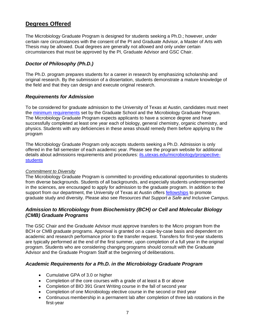# <span id="page-6-0"></span>**Degrees Offered**

The Microbiology Graduate Program is designed for students seeking a Ph.D.; however, under certain rare circumstances with the consent of the PI and Graduate Advisor, a Master of Arts with Thesis may be allowed. Dual degrees are generally not allowed and only under certain circumstances that must be approved by the PI, Graduate Advisor and GSC Chair.

# <span id="page-6-1"></span>*Doctor of Philosophy (Ph.D.)*

The Ph.D. program prepares students for a career in research by emphasizing scholarship and original research. By the submission of a dissertation, students demonstrate a mature knowledge of the field and that they can design and execute original research.

#### <span id="page-6-2"></span>*Requirements for Admission*

To be considered for graduate admission to the University of Texas at Austin, candidates must meet the [minimum requirements](https://gradschool.utexas.edu/admissions/where-to-begin/eligibility-for-admission-consideration) set by the Graduate School and the Microbiology Graduate Program. The Microbiology Graduate Program expects applicants to have a science degree and have successfully completed at least one year each of biology, general chemistry, organic chemistry, and physics. Students with any deficiencies in these areas should remedy them before applying to the program

The Microbiology Graduate Program only accepts students seeking a Ph.D. Admission is only offered in the fall semester of each academic year. Please see the program website for additional details about admissions requirements and procedures: ils.utexas.edu/microbiology/prospectivestudents

#### *Commitment to Diversity*

The Microbiology Graduate Program is committed to providing educational opportunities to students from diverse backgrounds. Students of all backgrounds, and especially students underrepresented in the sciences, are encouraged to apply for admission to the graduate program. In addition to the support from our department, the University of Texas at Austin offers [fellowships](https://icmb.utexas.edu/microbiology/current-students/fellowships) to promote graduate study and diversity. Please also see *Resources that Support a Safe and Inclusive Campus.*

# <span id="page-6-3"></span>*Admission to Microbiology from Biochemistry (BCH) or Cell and Molecular Biology (CMB) Graduate Programs*

The GSC Chair and the Graduate Advisor must approve transfers to the Micro program from the BCH or CMB graduate programs. Approval is granted on a case-by-case basis and dependent on academic and research performance prior to the transfer request. Transfers for first-year students are typically performed at the end of the first summer, upon completion of a full year in the original program. Students who are considering changing programs should consult with the Graduate Advisor and the Graduate Program Staff at the beginning of deliberations.

# <span id="page-6-4"></span>*Academic Requirements for a Ph.D. in the Microbiology Graduate Program*

- Cumulative GPA of 3.0 or higher
- Completion of the core courses with a grade of at least a B or above
- Completion of BIO 391 Grant Writing course in the fall of second year
- Completion of one Microbiology elective course in the second or third year
- Continuous membership in a permanent lab after completion of three lab rotations in the first-year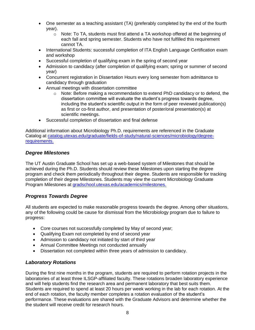- One semester as a teaching assistant (TA) (preferably completed by the end of the fourth year).
	- $\circ$  Note: To TA, students must first attend a TA workshop offered at the beginning of each fall and spring semester. Students who have not fulfilled this requirement cannot TA.
- International Students: successful completion of ITA English Language Certification exam and workshop
- Successful completion of qualifying exam in the spring of second year
- Admission to candidacy (after completion of qualifying exam; spring or summer of second year)
- Concurrent registration in Dissertation Hours every long semester from admittance to candidacy through graduation
- Annual meetings with dissertation committee
	- $\circ$  Note: Before making a recommendation to extend PhD candidacy or to defend, the dissertation committee will evaluate the student's progress towards degree, including the student's scientific output in the form of peer reviewed publication(s) as first or co-first author, and presentation of poster/oral presentation(s) at scientific meetings.
- Successful completion of dissertation and final defense

Additional information about Microbiology Ph.D. requirements are referenced in the Graduate Catalog at [catalog.utexas.edu/graduate/fields-of-study/natural-sciences/microbiology/degree](https://catalog.utexas.edu/graduate/fields-of-study/natural-sciences/microbiology/degree-requirements/)[requirements.](https://catalog.utexas.edu/graduate/fields-of-study/natural-sciences/microbiology/degree-requirements/)

# <span id="page-7-0"></span>*Degree Milestones*

The UT Austin Graduate School has set up a web-based system of Milestones that should be achieved during the Ph.D. Students should review these Milestones upon starting the degree program and check them periodically throughout their degree. Students are responsible for tracking completion of their degree Milestones. Students may view the current Microbiology Graduate Program Milestones at [gradschool.utexas.edu/academics/milestones.](https://gradschool.utexas.edu/academics/milestones)

# <span id="page-7-1"></span>*Progress Towards Degree*

All students are expected to make reasonable progress towards the degree. Among other situations, any of the following could be cause for dismissal from the Microbiology program due to failure to progress:

- Core courses not successfully completed by May of second year;
- Qualifying Exam not completed by end of second year
- Admission to candidacy not initiated by start of third year
- Annual Committee Meetings not conducted annually
- Dissertation not completed within three years of admission to candidacy.

# <span id="page-7-2"></span>*Laboratory Rotations*

During the first nine months in the program, students are required to perform rotation projects in the laboratories of at least three ILSGP-affiliated faculty. These rotations broaden laboratory experience and will help students find the research area and permanent laboratory that best suits them. Students are required to spend at least 20 hours per week working in the lab for each rotation. At the end of each rotation, the faculty member completes a rotation evaluation of the student's performance. These evaluations are shared with the Graduate Advisors and determine whether the the student will receive credit for research hours.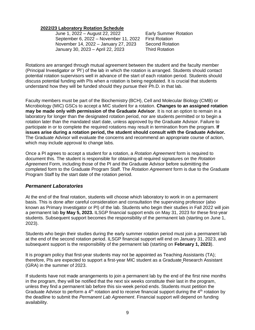#### **2022/23 Laboratory Rotation Schedule**

June 1, 2022 – August 22, 2022 Early Summer Rotation September 6, 2022 – November 11, 2022 First Rotation<br>November 14, 2022 – January 27, 2023 Second Rotation November 14, 2022 – January 27, 2023 January 30, 2023 – April 22, 2023 Third Rotation

Rotations are arranged through mutual agreement between the student and the faculty member (Principal Investigator or 'PI') of the lab in which the rotation is arranged. Students should contact potential rotation supervisors well in advance of the start of each rotation period. Students should discuss potential funding with PIs when a rotation is being negotiated. It is crucial that students understand how they will be funded should they pursue their Ph.D. in that lab.

Faculty members must be part of the Biochemistry (BCH), Cell and Molecular Biology (CMB) or Microbiology (MIC) GSCs to accept a MIC student for a rotation. **Changes to an assigned rotation may be made only with permission of the Graduate Advisor**. It is not an option to remain in a laboratory for longer than the designated rotation period, nor are students permitted or to begin a rotation later than the mandated start date, unless approved by the Graduate Advisor. Failure to participate in or to complete the required rotations may result in termination from the program. **If issues arise during a rotation period, the student should consult with the Graduate Advisor.** The Graduate Advisor will evaluate the concerns and recommend an appropriate course of action, which may include approval to change labs.

Once a PI agrees to accept a student for a rotation, a *Rotation Agreement* form is required to document this. The student is responsible for obtaining all required signatures on the *Rotation Agreement* Form, including those of the PI and the Graduate Advisor before submitting the completed form to the Graduate Program Staff. The *Rotation Agreement* form is due to the Graduate Program Staff by the start date of the rotation period.

# <span id="page-8-0"></span>*Permanent Laboratories*

At the end of the final rotation, students will choose which laboratory to work in on a permanent basis. This is done after careful consideration and consultation the supervising professor (also known as Primary Investigator or PI) of the lab. Students who begin their studies in Fall 2022 will join a permanent lab **by May 5, 2023.** ILSGP financial support ends on May 31, 2023 for these first-year students. Subsequent support becomes the responsibility of the permanent lab (starting on June 1, 2023).

Students who begin their studies during the early summer rotation period must join a permanent lab at the end of the second rotation period. ILSGP financial support will end on January 31, 2023, and subsequent support is the responsibility of the permanent lab (starting on **February 1, 2023**).

It is program policy that first-year students may not be appointed as Teaching Assistants (TA); therefore, PIs are expected to support a first-year MIC student as a Graduate Research Assistant (GRA) in the summer of 2023.

If students have not made arrangements to join a permanent lab by the end of the first nine months in the program, they will be notified that the next six weeks constitute their last in the program, unless they find a permanent lab before this six-week period ends. Students must petition the Graduate Advisor to perform a  $4<sup>th</sup>$  rotation and to receive financial support during the  $4<sup>th</sup>$  rotation by the deadline to submit the *Permanent Lab Agreement*. Financial support will depend on funding availability.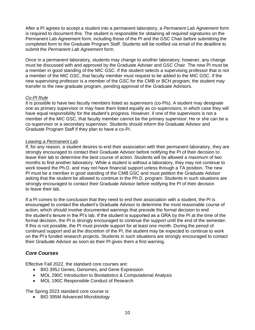After a PI agrees to accept a student into a permanent laboratory, a *Permanent Lab Agreement* form is required to document this. The student is responsible for obtaining all required signatures on the Permanent Lab Agreement form, including those of the PI and the GSC Chair before submitting the completed form to the Graduate Program Staff. Students will be notified via email of the deadline to submit the *Permanent Lab Agreement* form.

Once in a permanent laboratory, students may change to another laboratory; however, any change must be discussed with and approved by the Graduate Adviser and GSC Chair. The new PI must be a member in good standing of the MIC GSC. If the student selects a supervising professor that is not a member of the MIC GSC, that faculty member must request to be added to the MIC GSC. If the new supervising professor is a member of the GSC for the CMB or BCH program, the student may transfer to the new graduate program, pending approval of the Graduate Advisors.

#### *Co-PI Rule*

It is possible to have two faculty members listed as supervisors (co-PIs). A student may designate one as primary supervisor or may have them listed equally as co-supervisors; in which case they will have equal responsibility for the student's progress. However, if one of the supervisors is not a member of the MIC GSC, that faculty member cannot be the primary supervisor. He or she can be a co-supervisor or a secondary supervisor. Students should inform the Graduate Advisor and Graduate Program Staff if they plan to have a co-PI.

#### *Leaving a Permanent Lab*

If, for any reason, a student desires to end their association with their permanent laboratory, they are strongly encouraged to contact their Graduate Advisor before notifying the PI of their decision to leave their lab to determine the best course of action. Students will be allowed a maximum of two months to find another laboratory. While a student is without a laboratory, they may not continue to work toward the Ph.D. and may not have financial support unless through a TA position. The new PI must be a member in good standing of the CMB GSC and must petition the Graduate Advisor asking that the student be allowed to continue in the Ph.D. program. Students in such situations are strongly encouraged to contact their Graduate Advisor before notifying the PI of their decision to leave their lab.

If a PI comes to the conclusion that they need to end their association with a student, the PI is encouraged to contact the student's Graduate Advisor to determine the most reasonable course of action, which should involve documented warnings that precede the formal decision to end the student's tenure in the PI's lab. If the student is supported as a GRA by the PI at the time of the formal decision, the PI is strongly encouraged to continue the support until the end of the semester. If this is not possible, the PI must provide support for at least one month. During the period of continued support and at the discretion of the PI, the student may be expected to continue to work on the PI's funded research projects. Students in such situations are strongly encouraged to contact their Graduate Advisor as soon as their PI gives them a first warning.

# <span id="page-9-0"></span>*Core Courses*

Effective Fall 2022, the standard core courses are:

- BIO 395J Genes, Genomes, and Gene Expression
- MOL 290C Introduction to Biostatistics & Computational Analysis
- MOL 190C Responsible Conduct of Research

The Spring 2023 standard core course is:

• BIO 395M Advanced Microbiology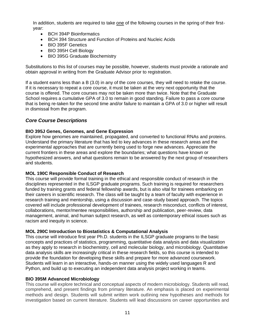In addition, students are required to take one of the following courses in the spring of their firstyear:

- BCH 394P Bioinformatics
- BCH 394 Structure and Function of Proteins and Nucleic Acids
- BIO 395F Genetics
- BIO 395H Cell Biology
- BIO 395G Graduate Biochemistry

Substitutions to this list of courses may be possible, however, students must provide a rationale and obtain approval in writing from the Graduate Advisor prior to registration.

If a student earns less than a B (3.0) in any of the core courses, they will need to retake the course. If it is necessary to repeat a core course, it must be taken at the very next opportunity that the course is offered. The core courses may not be taken more than twice. Note that the Graduate School requires a cumulative GPA of 3.0 to remain in good standing. Failure to pass a core course that is being re-taken for the second time and/or failure to maintain a GPA of 3.0 or higher will result in dismissal from the program.

# <span id="page-10-0"></span>*Core Course Descriptions*

#### **BIO 395J Genes, Genomes, and Gene Expression**

Explore how genomes are maintained, propagated, and converted to functional RNAs and proteins. Understand the primary literature that has led to key advances in these research areas and the experimental approaches that are currently being used to forge new advances. Appreciate the current frontiers in these areas and explore the boundaries; what questions have known or hypothesized answers, and what questions remain to be answered by the next group of researchers and students.

#### **MOL 190C Responsible Conduct of Research**

This course will provide formal training in the ethical and responsible conduct of research in the disciplines represented in the ILSGP graduate programs. Such training is required for researchers funded by training grants and federal fellowship awards, but is also vital for trainees embarking on their careers in scientific research. The class will be taught by a team of faculty with experience in research training and mentorship, using a discussion and case-study based approach. The topics covered will include professional development of trainees, research misconduct, conflicts of interest, collaborations, mentor/mentee responsibilities, authorship and publication, peer-review, data management, animal, and human subject research, as well as contemporary ethical issues such as racism and inequity in science.

# **MOL 290C Introduction to Biostatistics & Computational Analysis**

This course will introduce first year Ph.D. students in the ILSGP graduate programs to the basic concepts and practices of statistics, programming, quantitative data analysis and data visualization as they apply to research in biochemistry, cell and molecular biology, and microbiology. Quantitative data analysis skills are increasingly critical in these research fields, so this course is intended to provide the foundation for developing these skills and prepare for more advanced coursework. Students will learn in an interactive, hands-on manner using the widely used languages R and Python, and build up to executing an independent data analysis project working in teams.

# **BIO 395M Advanced Microbiology**

This course will explore technical and conceptual aspects of modern microbiology. Students will read, comprehend, and present findings from primary literature. An emphasis is placed on experimental methods and design. Students will submit written work outlining new hypotheses and methods for investigation based on current literature. Students will lead discussions on career opportunities and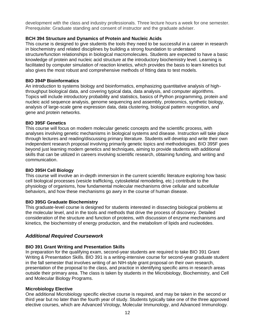development with the class and industry professionals. Three lecture hours a week for one semester. Prerequisite: Graduate standing and consent of instructor and the graduate adviser.

#### **BCH 394 Structure and Dynamics of Protein and Nucleic Acids**

This course is designed to give students the tools they need to be successful in a career in research in biochemistry and related disciplines by building a strong foundation to understand structure/function relationships in biological macromolecules. Students are expected to have a basic knowledge of protein and nucleic acid structure at the introductory biochemistry level. Learning is facilitated by computer simulation of reaction kinetics, which provides the basis to learn kinetics but also gives the most robust and comprehensive methods of fitting data to test models.

#### **BIO 394P Bioinformatics**

An introduction to systems biology and bioinformatics, emphasizing quantitative analysis of highthroughput biological data, and covering typical data, data analysis, and computer algorithms. Topics will include introductory probability and statistics, basics of Python programming, protein and nucleic acid sequence analysis, genome sequencing and assembly, proteomics, synthetic biology, analysis of large-scale gene expression data, data clustering, biological pattern recognition, and gene and protein networks.

#### **BIO 395F Genetics**

This course will focus on modern molecular genetic concepts and the scientific process, with analyses involving genetic mechanisms in biological systems and disease. Instruction will take place through lectures and reading/discussing primary literature. Students will develop and write their own independent research proposal involving primarily genetic topics and methodologies. BIO 395F goes beyond just learning modern genetics and techniques, aiming to provide students with additional skills that can be utilized in careers involving scientific research, obtaining funding, and writing and communication.

#### **BIO 395H Cell Biology**

This course will involve an in-depth immersion in the current scientific literature exploring how basic cell biological processes (vesicle trafficking, cytoskeletal remodeling, etc.) contribute to the physiology of organisms, how fundamental molecular mechanisms drive cellular and subcellular behaviors, and how these mechanisms go awry in the course of human disease.

#### **BIO 395G Graduate Biochemistry**

This graduate-level course is designed for students interested in dissecting biological problems at the molecular level, and in the tools and methods that drive the process of discovery. Detailed consideration of the structure and function of proteins, with discussion of enzyme mechanisms and kinetics, the biochemistry of energy production, and the metabolism of lipids and nucleotides.

# <span id="page-11-0"></span>*Additional Required Coursework*

# **BIO 391 Grant Writing and Presentation Skills**

In preparation for the qualifying exam, second-year students are required to take BIO 391 Grant Writing & Presentation Skills. BIO 391 is a writing-intensive course for second-year graduate student in the fall semester that involves writing of an NIH-style grant proposal on their own research, presentation of the proposal to the class, and practice in identifying specific aims in research areas outside their primary area. The class is taken by students in the Microbiology, Biochemistry, and Cell and Molecular Biology Programs.

# **Microbiology Elective**

One additional Microbiology specific elective course is required, and may be taken in the second or third year but no later than the fourth year of study. Students typically take one of the three approved elective courses, which are Advanced Virology, Molecular Immunology, and Advanced Immunology.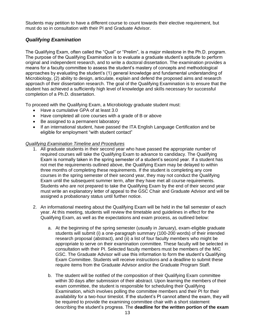Students may petition to have a different course to count towards their elective requirement, but must do so in consultation with their PI and Graduate Advisor.

# <span id="page-12-0"></span>*Qualifying Examination*

The Qualifying Exam, often called the "Qual" or "Prelim", is a major milestone in the Ph.D. program. The purpose of the Qualifying Examination is to evaluate a graduate student's aptitude to perform original and independent research, and to write a doctoral dissertation. The examination provides a means for a faculty committee to assess the student's mastery of concepts and methodological approaches by evaluating the student's (1) general knowledge and fundamental understanding of Microbiology, (2) ability to design, articulate, explain and defend the proposed aims and research approach of their dissertation research. The goal of the Qualifying Examination is to ensure that the student has achieved a sufficiently high level of knowledge and skills necessary for successful completion of a Ph.D. dissertation.

To proceed with the Qualifying Exam, a Microbiology graduate student must:

- Have a cumulative GPA of at least 3.0
- Have completed all core courses with a grade of B or above
- Be assigned to a permanent laboratory
- If an international student, have passed the ITA English Language Certification and be eligible for employment "with student contact"

#### *Qualifying Examination Timeline and Procedures*

- 1. All graduate students in their second year who have passed the appropriate number of required courses will take the Qualifying Exam to advance to candidacy. The Qualifying Exam is normally taken in the spring semester of a student's second year. If a student has not met the requirements outlined above, the Qualifying Exam may be delayed to within three months of completing these requirements. If the student is completing any core courses in the spring semester of their second year, they may not conduct the Qualifying Exam until the subsequent summer term, after they have met all course requirements. Students who are not prepared to take the Qualifying Exam by the end of their second year must write an explanatory letter of appeal to the GSC Chair and Graduate Advisor and will be assigned a probationary status until further notice.
- 2. An informational meeting about the Qualifying Exam will be held in the fall semester of each year. At this meeting, students will review the timetable and guidelines in effect for the Qualifying Exam, as well as the expectations and exam process, as outlined below:
	- a. At the beginning of the spring semester (usually in January), exam-eligible graduate students will submit (i) a one-paragraph summary (100-200 words) of their intended research proposal (abstract), and (ii) a list of four faculty members who might be appropriate to serve on their examination committee. These faculty will be selected in consultation with their PI. Selected faculty members must be members of the MIC GSC. The Graduate Advisor will use this information to form the student's Qualifying Exam Committee. Students will receive instructions and a deadline to submit these require items from the Graduate Advisor and/or the Graduate Program Staff.
	- b. The student will be notified of the composition of their Qualifying Exam committee within 30 days after submission of their abstract. Upon learning the members of their exam committee, the student is responsible for scheduling their Qualifying Examination, which involves polling the committee members and their PI for their availability for a two-hour timeslot. If the student's PI cannot attend the exam, they will be required to provide the examining committee chair with a short statement describing the student's progress. The **deadline for the written portion of the exam**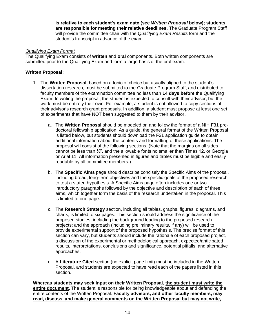**is relative to each student's exam date (see** *Written Proposal* **below); students are responsible for meeting their relative deadlines**. The Graduate Program Staff will provide the committee chair with the *Qualifying Exam Results* form and the student's transcript in advance of the exam.

#### *Qualifying Exam Format*

The Qualifying Exam consists of **written** and **oral** components. Both written components are submitted prior to the Qualifying Exam and form a large basis of the oral exam.

#### **Written Proposal:**

- 1. The **Written Proposal,** based on a topic of choice but usually aligned to the student's dissertation research, must be submitted to the Graduate Program Staff, and distributed to faculty members of the examination committee no less than **14 days before** the Qualifying Exam. In writing the proposal, the student is expected to consult with their advisor, but the work must be entirely their own. For example, a student is not allowed to copy sections of their advisor's research grant proposals. In addition, a student must propose at least one set of experiments that have NOT been suggested to them by their advisor.
	- a. The **Written Proposal** should be modeled on and follow the format of a NIH F31 predoctoral fellowship application. As a guide, the general format of the Written Proposal is listed below, but students should download the F31 application guide to obtain additional information about the contents and formatting of these applications. The proposal will consist of the following sections. (Note that the margins on all sides cannot be less than ½", and the allowable fonts no smaller than Times 12, or Georgia or Arial 11. All information presented in figures and tables must be legible and easily readable by all committee members.)
	- b. The **Specific Aims** page should describe concisely the Specific Aims of the proposal, including broad, long-term objectives and the specific goals of the proposed research to test a stated hypothesis. A Specific Aims page often includes one or two introductory paragraphs followed by the objective and description of each of three aims, which together form the basis of the research undertaken in the proposal. This is limited to one page.
	- c. The **Research Strategy** section, including all tables, graphs, figures, diagrams, and charts, is limited to six pages. This section should address the significance of the proposed studies, including the background leading to the proposed research projects; and the approach (including preliminary results, if any) will be used to provide experimental support of the proposed hypothesis. The precise format of this section can vary, but students should include the rationale of each proposed project, a discussion of the experimental or methodological approach, expected/anticipated results, interpretations, conclusions and significance, potential pitfalls, and alternative approaches.
	- d. A **Literature Cited** section (no explicit page limit) must be included in the Written Proposal, and students are expected to have read each of the papers listed in this section.

**Whereas students may seek input on their Written Proposal, the student must write the entire document.** The student is responsible for being knowledgeable about and defending the entire contents of the Written Proposal. **Faculty advisors, and other faculty members, may read, discuss, and make general comments on the Written Proposal but may not write,**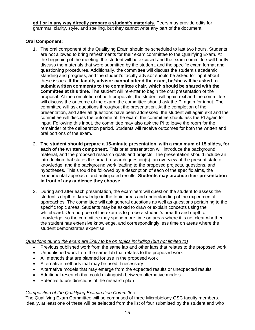**edit or in any way directly prepare a student's materials.** Peers may provide edits for grammar, clarity, style, and spelling, but they cannot write any part of the document.

#### **Oral Component:**

- 1. The oral component of the Qualifying Exam should be scheduled to last two hours. Students are not allowed to bring refreshments for their exam committee to the Qualifying Exam. At the beginning of the meeting, the student will be excused and the exam committee will briefly discuss the materials that were submitted by the student, and the specific exam format and questioning procedures. Additionally, the committee will discuss the student's academic standing and progress, and the student's faculty advisor should be asked for input about these issues. **If the faculty advisor cannot attend the exam, he/she will be asked to submit written comments to the committee chair, which should be shared with the committee at this time.** The student will re-enter to begin the oral presentation of the proposal. At the completion of both proposals, the student will again exit and the committee will discuss the outcome of the exam; the committee should ask the PI again for input. The committee will ask questions throughout the presentation. At the completion of the presentation, and after all questions have been addressed, the student will again exit and the committee will discuss the outcome of the exam; the committee should ask the PI again for input. Following this input, the committee may also ask the PI to leave the room for the remainder of the deliberation period. Students will receive outcomes for both the written and oral portions of the exam.
- 2. **The student should prepare a 15-minute presentation, with a maximum of 15 slides, for each of the written component.** This brief presentation will introduce the background material, and the proposed research goals and projects. The presentation should include an introduction that states the broad research question(s), an overview of the present state of knowledge, and the background work leading to the proposed projects, questions, and hypotheses. This should be followed by a description of each of the specific aims, the experimental approach, and anticipated results. **Students may practice their presentation in front of any audience they choose.**
- 3. During and after each presentation, the examiners will question the student to assess the student's depth of knowledge in the topic areas and understanding of the experimental approaches. The committee will ask general questions as well as questions pertaining to the specific topic areas. Students may be asked to draw or explain concepts using the whiteboard. One purpose of the exam is to probe a student's breadth and depth of knowledge, so the committee may spend more time on areas where it is not clear whether the student has extensive knowledge, and correspondingly less time on areas where the student demonstrates expertise.

#### *Questions during the exam are likely to be on topics including (but not limited to)*

- Previous published work from the same lab and other labs that relates to the proposed work
- Unpublished work from the same lab that relates to the proposed work
- All methods that are planned for use in the proposed work
- Alternative methods that may be used if necessary
- Alternative models that may emerge from the expected results or unexpected results
- Additional research that could distinguish between alternative models
- Potential future directions of the research plan

#### *Composition of the Qualifying Examination Committee:*

The Qualifying Exam Committee will be comprised of three Microbiology GSC faculty members. Ideally, at least one of these will be selected from the list of four submitted by the student and who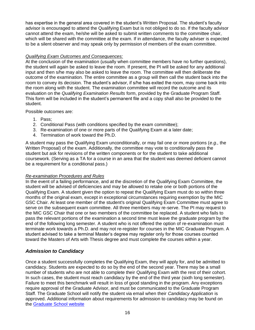has expertise in the general area covered in the student's Written Proposal. The student's faculty advisor is encouraged to attend the Qualifying Exam but is not obliged to do so. If the faculty advisor cannot attend the exam, he/she will be asked to submit written comments to the committee chair, which will be shared with the committee at the exam. If in attendance, the faculty adviser is expected to be a silent observer and may speak only by permission of members of the exam committee.

#### *Qualifying Exam Outcomes and Consequences:*

At the conclusion of the examination (usually when committee members have no further questions), the student will again be asked to leave the room. If present, the PI will be asked for any additional input and then s/he may also be asked to leave the room. The committee will then deliberate the outcome of the examination. The entire committee as a group will then call the student back into the room to convey its decision. The student's advisor, if s/he has exited the room, may come back into the room along with the student. The examination committee will record the outcome and its evaluation on the *Qualifying Examination Results* form, provided by the Graduate Program Staff. This form will be included in the student's permanent file and a copy shall also be provided to the student.

Possible outcomes are:

- 1. Pass;
- 2. Conditional Pass (with conditions specified by the exam committee);
- 3. Re-examination of one or more parts of the Qualifying Exam at a later date;
- 4. Termination of work toward the Ph.D.

A student may pass the Qualifying Exam unconditionally, or may fail one or more portions (*e.g.,* the Written Proposal) of the exam. Additionally, the committee may vote to conditionally pass the student but ask for revisions of the written components or for the student to take additional coursework. (Serving as a TA for a course in an area that the student was deemed deficient cannot be a requirement for a conditional pass.)

#### *Re-examination Procedures and Rules*

In the event of a failing performance, and at the discretion of the Qualifying Exam Committee, the student will be advised of deficiencies and may be allowed to retake one or both portions of the Qualifying Exam. A student given the option to repeat the Qualifying Exam must do so within three months of the original exam, except in exceptional circumstances requiring exemption by the MIC GSC Chair. At least one member of the student's original Qualifying Exam Committee must agree to serve on the subsequent exam committee. All three members may re-serve. The PI may request to the MIC GSC Chair that one or two members of the committee be replaced. A student who fails to pass the relevant portions of the examination a second time must leave the graduate program by the end of the following long semester. A student who is not offered the option of re-examination must terminate work towards a Ph.D. and may not re-register for courses in the MIC Graduate Program. A student advised to take a terminal Master's degree may register only for those courses counted toward the Masters of Arts with Thesis degree and must complete the courses within a year.

# <span id="page-15-0"></span>*Admission to Candidacy*

Once a student successfully completes the Qualifying Exam, they will apply for, and be admitted to candidacy. Students are expected to do so by the end of the second year. There may be a small number of students who are not able to complete their Qualifying Exam with the rest of their cohort. In such cases, the student must reach candidacy by the end of the third year (sixth long semester). Failure to meet this benchmark will result in loss of good standing in the program. Any exceptions require approval of the Graduate Advisor, and must be communicated to the Graduate Program Staff. The Graduate School will notify the student via email when their *Candidacy Application* is approved. Additional information about requirements for admission to candidacy may be found on the [Graduate School website](https://gradschool.utexas.edu/academics/theses-and-dissertations/doctoral-candidacy)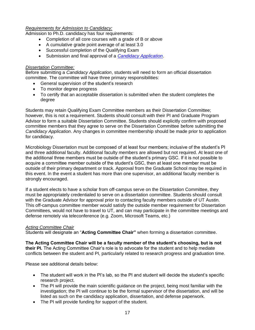#### *Requirements for Admission to Candidacy:*

Admission to Ph.D. candidacy has four requirements:

- Completion of all core courses with a grade of B or above
- A cumulative grade point average of at least 3.0
- Successful completion of the Qualifying Exam
- Submission and final approval of a *[Candidacy Application](https://utdirect.utexas.edu/ogs/forms/candidacy/stu_appsList.WBX)*.

#### <span id="page-16-0"></span>*Dissertation Committee:*

Before submitting a *Candidacy Application*, students will need to form an official dissertation committee. The committee will have three primary responsibilities:

- General supervision of the student's research
- To monitor degree progress
- To certify that an acceptable dissertation is submitted when the student completes the degree

Students may retain Qualifying Exam Committee members as their Dissertation Committee; however, this is not a requirement. Students should consult with their PI and Graduate Program Advisor to form a suitable Dissertation Committee. Students should explicitly confirm with proposed committee members that they agree to serve on the Dissertation Committee before submitting the *Candidacy Application*. Any changes in committee membership should be made prior to application for candidacy.

Microbiology Dissertation must be composed of at least four members; inclusive of the student's PI and three additional faculty. Additional faculty members are allowed but not required. At least one of the additional three members must be outside of the student's primary GSC. If it is not possible to acquire a committee member outside of the student's GSC, then at least one member must be outside of their primary department or track. Approval from the Graduate School may be required in this event. In the event a student has more than one supervisor, an additional faculty member is strongly encouraged.

If a student elects to have a scholar from off-campus serve on the Dissertation Committee, they must be appropriately credentialed to serve on a dissertation committee. Students should consult with the Graduate Advisor for approval prior to contacting faculty members outside of UT Austin. This off-campus committee member would satisfy the outside member requirement for Dissertation Committees, would not have to travel to UT, and can may participate in the committee meetings and defense remotely via teleconference (e.g. Zoom, Microsoft Teams, etc.)

#### <span id="page-16-1"></span>*Acting Committee Chair*

Students will designate an "**Acting Committee Chair"** when forming a dissertation committee.

**The Acting Committee Chair will be a faculty member of the student's choosing, but is not their PI.** The Acting Committee Chair's role is to advocate for the student and to help mediate conflicts between the student and PI, particularly related to research progress and graduation time.

Please see additional details below:

- The student will work in the PI's lab, so the PI and student will decide the student's specific research project.
- The PI will provide the main scientific guidance on the project, being most familiar with the investigation; the PI will continue to be the formal supervisor of the dissertation, and will be listed as such on the candidacy application, dissertation, and defense paperwork.
- The PI will provide funding for support of the student.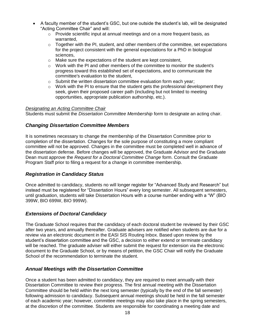- A faculty member of the student's GSC, but one outside the student's lab, will be designated "Acting Committee Chair" and will:
	- $\circ$  Provide scientific input at annual meetings and on a more frequent basis, as warranted,
	- $\circ$  Together with the PI, student, and other members of the committee, set expectations for the project consistent with the general expectations for a PhD in biological sciences,
	- o Make sure the expectations of the student are kept consistent,
	- $\circ$  Work with the PI and other members of the committee to monitor the student's progress toward this established set of expectations, and to communicate the committee's evaluation to the student,
	- $\circ$  Submit the written dissertation committee evaluation form each vear:
	- $\circ$  Work with the PI to ensure that the student gets the professional development they seek, given their proposed career path (including but not limited to meeting opportunities, appropriate publication authorship, etc.).

#### <span id="page-17-0"></span>*Designating an Acting Committee Chair*

Students must submit the *Dissertation Committee Membership* form to designate an acting chair.

# <span id="page-17-1"></span>*Changing Dissertation Committee Members*

It is sometimes necessary to change the membership of the Dissertation Committee prior to completion of the dissertation. Changes for the sole purpose of constituting a more compliant committee will not be approved. Changes in the committee must be completed well in advance of the dissertation defense. Before changes will be approved, the Graduate Advisor and the Graduate Dean must approve the *Request for a Doctoral Committee Change* form. Consult the Graduate Program Staff prior to filing a request for a change in committee membership.

# <span id="page-17-2"></span>*Registration in Candidacy Status*

Once admitted to candidacy, students no will longer register for "Advanced Study and Research" but instead must be registered for "Dissertation Hours" every long semester. All subsequent semesters, until graduation, students will take Dissertation Hours with a course number ending with a "W" (BIO 399W, BIO 699W, BIO 999W).

#### <span id="page-17-3"></span>*Extensions of Doctoral Candidacy*

The Graduate School requires that the candidacy of each doctoral student be reviewed by their GSC after two years, and annually thereafter. Graduate advisers are notified when students are due for a review via an electronic document in the EASI SIS Routing Inbox. Based upon review by the student's dissertation committee and the GSC, a decision to either extend or terminate candidacy will be reached. The graduate adviser will either submit the request for extension via the electronic document to the Graduate School, or by means of petition, the GSC Chair will notify the Graduate School of the recommendation to terminate the student.

# <span id="page-17-4"></span>*Annual Meetings with the Dissertation Committee*

Once a student has been admitted to candidacy, they are required to meet annually with their Dissertation Committee to review their progress. The first annual meeting with the Dissertation Committee should be held within the next long semester (typically by the end of the fall semester) following admission to candidacy. Subsequent annual meetings should be held in the fall semester of each academic year; however, committee meetings may also take place in the spring semesters, at the discretion of the committee. Students are responsible for coordinating a meeting date and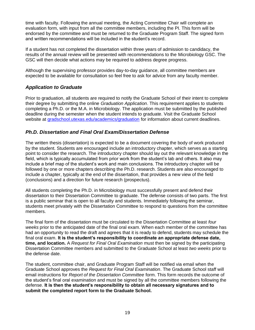time with faculty. Following the annual meeting, the Acting Committee Chair will complete an evaluation form, with input from all the committee members, including the PI. This form will be endorsed by the committee and must be returned to the Graduate Program Staff. The signed form and written recommendations will be included in the student's record.

If a student has not completed the dissertation within three years of admission to candidacy, the results of the annual review will be presented with recommendations to the Microbiology GSC. The GSC will then decide what actions may be required to address degree progress.

Although the supervising professor provides day-to-day guidance, all committee members are expected to be available for consultation so feel free to ask for advice from any faculty member.

# <span id="page-18-0"></span>*Application to Graduate*

Prior to graduation, all students are required to notify the Graduate School of their intent to complete their degree by submitting the online *Graduation Application*. This requirement applies to students completing a Ph.D. or the M.A. in Microbiology. The application must be submitted by the published deadline during the semester when the student intends to graduate. Visit the Graduate School website at [gradschool.utexas.edu/academics/graduation](https://gradschool.utexas.edu/academics/graduation) for information about current deadlines.

# <span id="page-18-1"></span>*Ph.D. Dissertation and Final Oral Exam/Dissertation Defense*

The written thesis (dissertation) is expected to be a document covering the body of work produced by the student. Students are encouraged include an introductory chapter, which serves as a starting point to consider the research. The introductory chapter should lay out the relevant knowledge in the field, which is typically accumulated from prior work from the student's lab and others. It also may include a brief map of the student's work and main conclusions. The introductory chapter will be followed by one or more chapters describing the Ph.D. research. Students are also encouraged to include a chapter, typically at the end of the dissertation, that provides a new view of the field (conclusions) and a direction for future research (prospectus).

All students completing the Ph.D. in Microbiology must successfully present and defend their dissertation to their Dissertation Committee to graduate. The defense consists of two parts. The first is a public seminar that is open to all faculty and students. Immediately following the seminar, students meet privately with the Dissertation Committee to respond to questions from the committee members.

The final form of the dissertation must be circulated to the Dissertation Committee at least *four weeks* prior to the anticipated date of the final oral exam. When each member of the committee has had an opportunity to read the draft and agrees that it is ready to defend, students may schedule the final oral exam. **It is the student's responsibility to coordinate an appropriate defense date, time, and location.** A *Request for Final Oral Examination* must then be signed by the participating Dissertation Committee members and submitted to the Graduate School at least *two weeks* prior to the defense date.

The student, committee chair, and Graduate Program Staff will be notified via email when the Graduate School approves the *Request for Final Oral Examination*. The Graduate School staff will email instructions for *Report of the Dissertation Committee* form. This form records the outcome of the student's final oral examination and must be signed by all the committee members following the defense. **It is then the student's responsibility to obtain all necessary signatures and to submit the completed report form to the Graduate School.**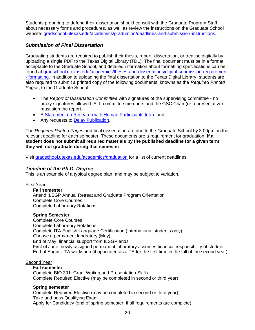Students preparing to defend their dissertation should consult with the Graduate Program Staff about necessary forms and procedures, as well as review the instructions on the Graduate School website: [gradschool.utexas.edu/academics/graduation/deadlines-and-submission-instructions.](https://gradschool.utexas.edu/academics/graduation/deadlines-and-submission-instructions)

# <span id="page-19-0"></span>*Submission of Final Dissertation*

Graduating students are required to publish their thesis, report, dissertation, or treatise digitally by uploading a single PDF to the Texas Digital Library (TDL). The final document must be in a format acceptable to the Graduate School, and detailed information about formatting specifications can be found at [gradschool.utexas.edu/academics/theses-and-dissertations/digital-submission-requirement](https://gradschool.utexas.edu/academics/theses-and-dissertations/digital-submission-requirement#formatting)  - [formatting.](https://gradschool.utexas.edu/academics/theses-and-dissertations/digital-submission-requirement#formatting) In addition to uploading the final dissertation to the Texas Digital Library, students are also required to submit a printed copy of the following documents, knowns as the *Required Printed Pages*, to the Graduate School:

- The *Report of Dissertation Committee* with signatures of the supervising committee no proxy signatures allowed. ALL committee members and the GSC Chair (or representative) must sign the report.
- A [Statement on Research with Human Participants form;](https://utexas.box.com/shared/static/ci93fkvocqn6b35n72rfd8eyuyefl1ez.pdf) and
- Any requests to [Delay Publication.](https://gradschool.utexas.edu/academics/theses-and-dissertations/digital-submission-requirement)

The *Required Printed Pages* and final dissertation are due to the Graduate School by 3:00pm on the relevant deadline for each semester. These documents are a requirement for graduation**. If a student does not submit all required materials by the published deadline for a given term, they will not graduate during that semester.** 

Visit [gradschool.utexas.edu/academics/graduation](https://gradschool.utexas.edu/academics/graduation) for a list of current deadlines.

#### <span id="page-19-1"></span>*Timeline of the Ph.D. Degree*

This is an example of a typical degree plan, and may be subject to variation.

#### First Year

#### **Fall semester**

Attend ILSGP Annual Retreat and Graduate Program Orientation Complete Core Courses Complete Laboratory Rotations

#### **Spring Semester**

Complete Core Courses Complete Laboratory Rotations Complete ITA English Language Certification (International students only) Choose a permanent laboratory (May) End of May: financial support from ILSGP ends First of June: newly assigned permanent laboratory assumes financial responsibility of student End of August: TA workshop (if appointed as a TA for the first time in the fall of the second year)

#### Second Year

#### **Fall semester**

Complete BIO 391: Grant Writing and Presentation Skills Complete Required Elective (may be completed in second or third year)

#### **Spring semester**

Complete Required Elective (may be completed in second or third year) Take and pass Qualifying Exam Apply for Candidacy (end of spring semester, if all requirements are complete)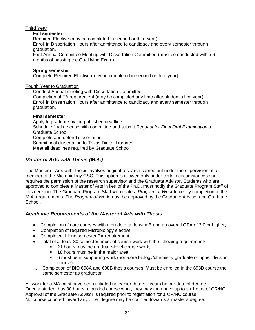# Third Year

#### **Fall semester**

Required Elective (may be completed in second or third year) Enroll in Dissertation Hours after admittance to candidacy and every semester through graduation.

First Annual Committee Meeting with Dissertation Committee (must be conducted within 6 months of passing the Qualifying Exam)

#### **Spring semester**

Complete Required Elective (may be completed in second or third year)

#### Fourth Year to Graduation

Conduct Annual meeting with Dissertation Committee Completion of TA requirement (may be completed any time after student's first year) Enroll in Dissertation Hours after admittance to candidacy and every semester through graduation.

#### **Final semester**

Apply to graduate by the published deadline Schedule final defense with committee and submit *Request for Final Oral Examination* to Graduate School Complete and defend dissertation Submit final dissertation to Texas Digital Libraries Meet all deadlines required by Graduate School

# <span id="page-20-0"></span>*Master of Arts with Thesis (M.A.)*

The Master of Arts with Thesis involves original research carried out under the supervision of a member of the Microbiology GSC. This option is allowed only under certain circumstances and requires the permission of the research supervisor and the Graduate Advisor. Students who are approved to complete a Master of Arts in lieu of the Ph.D. must notify the Graduate Program Staff of this decision. The Graduate Program Staff will create a *Program of Work* to certify completion of the M.A. requirements. The *Program of Work* must be approved by the Graduate Advisor and Graduate School.

# *Academic Requirements of the Master of Arts with Thesis*

- Completion of core courses with a grade of at least a B and an overall GPA of 3.0 or higher;
- Completion of required Microbiology elective;
- Completed 1 long semester TA requirement;
- Total of at least 30 semester hours of course work with the following requirements:
	- 21 hours must be graduate-level course work,
	- 18 hours must be in the major area,
	- 6 must be in supporting work (non-core biology/chemistry graduate or upper division course).
- o Completion of BIO 698A and 698B thesis courses; Must be enrolled in the 698B course the same semester as graduation

All work for a MA must have been initiated no earlier than six years before date of degree. Once a student has 30 hours of graded course work, they may then have up to six hours of CR/NC. Approval of the Graduate Advisor is required prior to registration for a CR/NC course. No course counted toward any other degree may be counted towards a master's degree.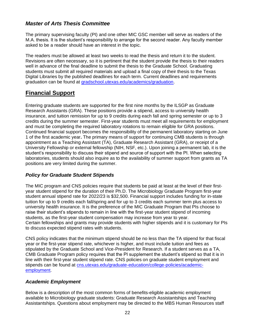# *Master of Arts Thesis Committee*

The primary supervising faculty (PI) and one other MIC GSC member will serve as readers of the M.A. thesis. It is the student's responsibility to arrange for the second reader. Any faculty member asked to be a reader should have an interest in the topic.

The readers must be allowed at least two weeks to read the thesis and return it to the student. Revisions are often necessary, so it is pertinent that the student provide the thesis to their readers well in advance of the final deadline to submit the thesis to the Graduate School. Graduating students must submit all required materials and upload a final copy of their thesis to the Texas Digital Libraries by the published deadlines for each term. Current deadlines and requirements graduation can be found at [gradschool.utexas.edu/academics/graduation.](https://gradschool.utexas.edu/academics/graduation)

# <span id="page-21-0"></span>**Financial Support**

Entering graduate students are supported for the first nine months by the ILSGP as Graduate Research Assistants (GRA). These positions provide a stipend, access to university health insurance, and tuition remission for up to 9 credits during each fall and spring semester or up to 3 credits during the summer semester. First-year students must meet all requirements for employment and must be completing the required laboratory rotations to remain eligible for GRA positions. Continued financial support becomes the responsibility of the permanent laboratory starting on June 1 of the first academic year**.** The primary means of support for continuing CMB students is through appointment as a Teaching Assistant (TA), Graduate Research Assistant (GRA), or receipt of a University Fellowship or external fellowship (NIH, NSF, etc.). Upon joining a permanent lab, it is the student's responsibility to discuss their stipend and source of support with the PI. When selecting laboratories, students should also inquire as to the availability of summer support from grants as TA positions are very limited during the summer.

# <span id="page-21-1"></span>*Policy for Graduate Student Stipends*

The MIC program and CNS policies require that students be paid at least at the level of their firstyear student stipend for the duration of their Ph.D. The Microbiology Graduate Program first-year student annual stipend rate for 2022/23 is \$32,500. Financial support includes funding for in-state tuition for up to 9 credits each fall/spring and for up to 3 credits each summer term plus access to university health insurance. It is the preference of the MIC Graduate Program that PIs choose to raise their student's stipends to remain in line with the first-year student stipend of incoming students, as the first-year student compensation may increase from year to year. Certain fellowships and grants may provide students with higher stipends and it is customary for PIs to discuss expected stipend rates with students.

CNS policy indicates that the minimum stipend should be no less than the TA stipend for that fiscal year or the first-year stipend rate, whichever is higher, and must include tuition and fees as stipulated by the Graduate School and Vice-President for Research. If a student serves as a TA, CMB Graduate Program policy requires that the PI supplement the student's stipend so that it is in line with their first-year student stipend rate. CNS policies on graduate student employment and stipends can be found at [cns.utexas.edu/graduate-education/college-policies/academic](https://cns.utexas.edu/graduate-education/college-policies/academic-employment)[employment.](https://cns.utexas.edu/graduate-education/college-policies/academic-employment)

# <span id="page-21-2"></span>*Academic Employment*

Below is a description of the most common forms of benefits-eligible academic employment available to Microbiology graduate students: Graduate Research Assistantships and Teaching Assistantships. Questions about employment may be directed to the MBS Human Resources staff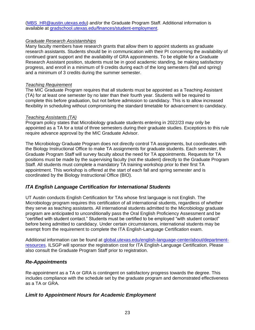[\(MBS\\_HR@austin.utexas.edu\)](mailto:MBS_HR@austin.utexas.edu) and/or the Graduate Program Staff. Additional information is available at [gradschool.utexas.edu/finances/student-employment.](https://gradschool.utexas.edu/finances/student-employment)

#### <span id="page-22-0"></span>*Graduate Research Assistantships*

Many faculty members have research grants that allow them to appoint students as graduate research assistants. Students should be in communication with their PI concerning the availability of continued grant support and the availability of GRA appointments. To be eligible for a Graduate Research Assistant position, students must be in good academic standing, be making satisfactory progress, and enroll in a minimum of 9 credits during each of the long semesters (fall and spring) and a minimum of 3 credits during the summer semester.

#### <span id="page-22-1"></span>*Teaching Requirement*

The MIC Graduate Program requires that all students must be appointed as a Teaching Assistant (TA) for at least one semester by no later than their fourth year. Students will be required to complete this before graduation, but not before admission to candidacy. This is to allow increased flexibility in scheduling without compromising the standard timetable for advancement to candidacy.

#### <span id="page-22-2"></span>*Teaching Assistants (TA)*

Program policy states that Microbiology graduate students entering in 2022/23 may only be appointed as a TA for a total of three semesters during their graduate studies. Exceptions to this rule require advance approval by the MIC Graduate Advisor.

The Microbiology Graduate Program does not directly control TA assignments, but coordinates with the Biology Instructional Office to make TA assignments for graduate students. Each semester, the Graduate Program Staff will survey faculty about the need for TA appointments. Requests for TA positions must be made by the supervising faculty (not the student) directly to the Graduate Program Staff. All students must complete a mandatory TA training workshop prior to their first TA appointment. This workshop is offered at the start of each fall and spring semester and is coordinated by the Biology Instructional Office (BIO).

# <span id="page-22-3"></span>*ITA English Language Certification for International Students*

UT Austin conducts English Certification for TAs whose first language is not English. The Microbiology program requires this certification of all international students, regardless of whether they serve as teaching assistants. All international students admitted to the Microbiology graduate program are anticipated to unconditionally pass the Oral English Proficiency Assessment and be "certified with student contact." Students must be certified to be employed "with student contact" before being admitted to candidacy. Under certain circumstances, international students may be exempt from the requirement to complete the ITA English-Language Certification exam.

Additional information can be found at [global.utexas.edu/english-language-center/about/department](https://global.utexas.edu/english-language-center/about/department-resources)[resources.](https://global.utexas.edu/english-language-center/about/department-resources) ILSGP will sponsor the registration cost for ITA English-Language Certification. Please also consult the Graduate Program Staff prior to registration.

# <span id="page-22-4"></span>*Re-Appointments*

Re-appointment as a TA or GRA is contingent on satisfactory progress towards the degree. This includes compliance with the schedule set by the graduate program and demonstrated effectiveness as a TA or GRA.

# <span id="page-22-5"></span>*Limit to Appointment Hours for Academic Employment*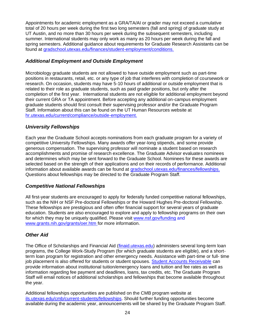Appointments for academic employment as a GRA/TA/AI or grader may not exceed a cumulative total of 20 hours per week during the first two long semesters (fall and spring) of graduate study at UT Austin, and no more than 30 hours per week during the subsequent semesters, including summer. International students may only work as many as 20 hours per week during the fall and spring semesters. Additional guidance about requirements for Graduate Research Assistants can be found at [gradschool.utexas.edu/finances/student-employment/conditions.](https://gradschool.utexas.edu/finances/student-employment/conditions)

# <span id="page-23-0"></span>*Additional Employment and Outside Employment*

Microbiology graduate students are not allowed to have outside employment such as part-time positions in restaurants, retail, etc. or any type of job that interferes with completion of coursework or research. On occasion, students may have 5-10 hours of additional or outside employment that is related to their role as graduate students, such as paid grader positions, but only after the completion of the first year. International students are not eligible for additional employment beyond their current GRA or TA appointment. Before accepting any additional on-campus employment graduate students should first consult their supervising professor and/or the Graduate Program Staff. Information about this can be found on the UT Human Resources website at [hr.utexas.edu/current/compliance/outside-employment.](https://hr.utexas.edu/current/compliance/outside-employment) 

# <span id="page-23-1"></span>*University Fellowships*

Each year the Graduate School accepts nominations from each graduate program for a variety of competitive University Fellowships. Many awards offer year-long stipends, and some provide generous compensation. The supervising professor will nominate a student based on research accomplishments and promise of research excellence. The Graduate Advisor evaluates nominees and determines which may be sent forward to the Graduate School. Nominees for these awards are selected based on the strength of their applications and on their records of performance. Additional information about available awards can be found at [gradschool.utexas.edu/finances/fellowships.](https://gradschool.utexas.edu/finances/fellowships) Questions about fellowships may be directed to the Graduate Program Staff.

# <span id="page-23-2"></span>*Competitive National Fellowships*

All first-year students are encouraged to apply for federally funded competitive national fellowships, such as the NIH or NSF Pre-doctoral Fellowships or the Howard Hughes Pre-doctoral Fellowship. These fellowships are prestigious and often offer financial support for several years of graduate education. Students are also encouraged to explore and apply to fellowship programs on their own for which they may be uniquely qualified. Please visit [www.nsf.gov/funding](http://www.nsf.gov/funding/) and [www.grants.nih.gov/grants/oer.htm](http://www.grants.nih.gov/grants/oer.htm) for more information.

# <span id="page-23-3"></span>*Other Aid*

The Office of Scholarships and Financial Aid [\(finaid.utexas.edu\)](http://www.finaid.utexas.edu/)) administers several long-term loan programs, the College Work-Study Program (for which graduate students are eligible), and a shortterm loan program for registration and other emergency needs. Assistance with part-time or full- time job placement is also offered for students or student spouses. [Student Accounts Receivable](https://financials.utexas.edu/student-accounts-receivable) can provide information about institutional tuition/emergency loans and tuition and fee rates as well as information regarding fee payment and deadlines, loans, tax credits, etc. The Graduate Program Staff will email notices of additional scholarships and fellowships that become available throughout the year.

Additional fellowships opportunities are published on the CMB program website at [ils.utexas.edu/cmb/current-students/fellowships.](https://ils.utexas.edu/cmb/current-students/fellowships) Should further funding opportunities become available during the academic year, announcements will be shared by the Graduate Program Staff.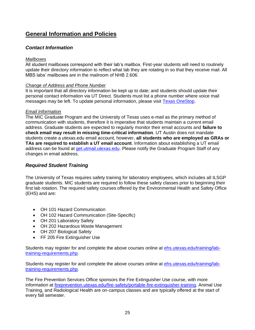# <span id="page-24-0"></span>**General Information and Policies**

# <span id="page-24-1"></span>*Contact Information*

#### <span id="page-24-2"></span>*Mailboxes*

All student mailboxes correspond with their lab's mailbox. First-year students will need to routinely update their directory information to reflect what lab they are rotating in so that they receive mail. All MBS labs' mailboxes are in the mailroom of NHB 2.606.

#### <span id="page-24-3"></span>*Change of Address and Phone Number*

It is important that all directory information be kept up to date; and students should update their personal contact information via UT Direct. Students must list a phone number where voice mail messages may be left. To update personal information, please visit [Texas OneStop.](https://onestop.utexas.edu/)

#### <span id="page-24-4"></span>*Email Information*

The MIC Graduate Program and the University of Texas uses e-mail as the primary method of communication with students, therefore it is imperative that students maintain a current email address. Graduate students are expected to regularly monitor their email accounts and **failure to check email may result in missing time-critical information**. UT Austin does not mandate students create a utexas.edu email account, however, **all students who are employed as GRAs or TAs are required to establish a UT email account**. Information about establishing a UT email address can be found at [get.utmail.utexas.edu.](https://get.utmail.utexas.edu/) Please notify the Graduate Program Staff of any changes in email address.

# <span id="page-24-5"></span>*Required Student Training*

The University of Texas requires safety training for laboratory employees, which includes all ILSGP graduate students. MIC students are required to follow these safety classes prior to beginning their first lab rotation. The required safety courses offered by the Environmental Health and Safety Office (EHS) and are:

- OH 101 Hazard Communication
- OH 102 Hazard Communication (Site-Specific)
- OH 201 Laboratory Safety
- OH 202 Hazardous Waste Management
- OH 207 Biological Safety
- FF 205 Fire Extinguisher Use

Students may register for and complete the above courses online at [ehs.utexas.edu/training/lab](https://ehs.utexas.edu/training/lab-training-requirements.php)[training-requirements.php.](https://ehs.utexas.edu/training/lab-training-requirements.php)

Students may register for and complete the above courses online at [ehs.utexas.edu/training/lab](https://ehs.utexas.edu/training/lab-training-requirements.php)[training-requirements.php.](https://ehs.utexas.edu/training/lab-training-requirements.php)

The Fire Prevention Services Office sponsors the Fire Extinguisher Use course, with more information at [fireprevention.utexas.edu/fire-safety/portable-fire-extinguisher-training.](https://fireprevention.utexas.edu/fire-safety/portable-fire-extinguisher-training) Animal Use Training, and Radiological Health are on-campus classes and are typically offered at the start of every fall semester.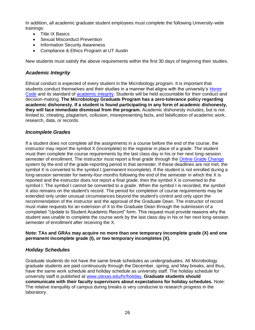In addition, all academic graduate student employees must complete the following University-wide trainings:

- Title IX Basics
- Sexual Misconduct Prevention
- Information Security Awareness
- Compliance & Ethics Program at UT Austin

New students must satisfy the above requirements within the first 30 days of beginning their studies.

#### <span id="page-25-0"></span>*Academic Integrity*

Ethical conduct is expected of every student in the Microbiology program. It is important that students conduct themselves and their studies in a manner that aligns with the university's [Honor](https://deanofstudents.utexas.edu/conduct/standardsofconduct.php)  [Code](https://deanofstudents.utexas.edu/conduct/standardsofconduct.php) and its standard of [academic integrity.](https://deanofstudents.utexas.edu/conduct/academicintegrity.php) Students will be held accountable for their conduct and decision-making. **The Microbiology Graduate Program has a zero-tolerance policy regarding academic dishonesty. If a student is found participating in any form of academic dishonesty, they will face immediate dismissal from the program.** Academic dishonesty includes, but is not limited to, cheating, plagiarism, collusion, misrepresenting facts, and falsification of academic work, research, data, or records.

#### <span id="page-25-1"></span>*Incomplete Grades*

If a student does not complete all the assignments in a course before the end of the course, the instructor may report the symbol X (incomplete) to the registrar in place of a grade. The student must then complete the course requirements by the last class day in his or her next long-session semester of enrollment. The instructor must report a final grade through the [Online Grade Change](https://registrar.utexas.edu/staff/grades/changes) system by the end of the grade-reporting period in that semester. If these deadlines are not met, the symbol X is converted to the symbol I (permanent incomplete). If the student is not enrolled during a long-session semester for twenty-four months following the end of the semester in which the X is reported and the instructor does not report a final grade, then the symbol X is converted to the symbol I. The symbol I cannot be converted to a grade. When the symbol I is recorded, the symbol X also remains on the student's record. The period for completion of course requirements may be extended only under unusual circumstances beyond the student's control and only upon the recommendation of the instructor and the approval of the Graduate Dean. The instructor of record must make requests for an extension of X to the Graduate Dean through the submission of a completed "Update to Student Academic Record" form. This request must provide reasons why the student was unable to complete the course work by the last class day in his or her next long-session semester of enrollment after receiving the X.

#### **Note: TAs and GRAs may acquire no more than one temporary incomplete grade (X) and one permanent incomplete grade (I), or two temporary incompletes (X).**

# <span id="page-25-2"></span>*Holiday Schedules*

Graduate students do not have the same break schedules as undergraduates. All Microbiology graduate students are paid continuously through the December, spring, and May breaks, and thus, have the same work schedule and holiday schedule as university staff. The holiday schedule for university staff is published at [www.utexas.edu/hr/holiday.](http://www.utexas.edu/hr/holiday/)) **Graduate students should communicate with their faculty supervisors about expectations for holiday schedules.** Note: The relative tranquility of campus during breaks is very conducive to research progress in the laboratory.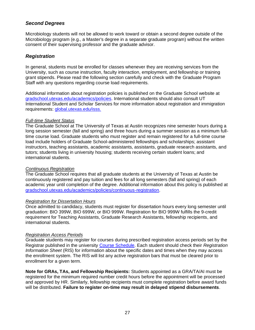# <span id="page-26-0"></span>*Second Degrees*

Microbiology students will not be allowed to work toward or obtain a second degree outside of the Microbiology program (e.g., a Master's degree in a separate graduate program) without the written consent of their supervising professor and the graduate advisor.

#### <span id="page-26-1"></span>*Registration*

In general, students must be enrolled for classes whenever they are receiving services from the University, such as course instruction, faculty interaction, employment, and fellowship or training grant stipends. Please read the following section carefully and check with the Graduate Program Staff with any questions regarding course load requirements.

Additional information about registration policies is published on the Graduate School website at [gradschool.utexas.edu/academics/policies.](https://gradschool.utexas.edu/academics/policies) International students should also consult UT International Student and Scholar Services for more information about registration and immigration requirements: [global.utexas.edu/isss.](https://global.utexas.edu/isss)

#### <span id="page-26-2"></span>*Full-time Student Status*

The Graduate School at The University of Texas at Austin recognizes nine semester hours during a long session semester (fall and spring) and three hours during a summer session as a minimum fulltime course load. Graduate students who must register and remain registered for a full-time course load include holders of Graduate School-administered fellowships and scholarships; assistant instructors, teaching assistants, academic assistants, assistants, graduate research assistants, and tutors; students living in university housing; students receiving certain student loans; and international students.

#### <span id="page-26-3"></span>*Continuous Registration*

The Graduate School requires that all graduate students at the University of Texas at Austin be continuously registered and pay tuition and fees for all long semesters (fall and spring) of each academic year until completion of the degree. Additional information about this policy is published at [gradschool.utexas.edu/academics/policies/continuous-registration.](https://gradschool.utexas.edu/academics/policies/continuous-registration)

#### <span id="page-26-4"></span>*Registration for Dissertation Hours*

Once admitted to candidacy, students must register for dissertation hours every long semester until graduation: BIO 399W, BIO 699W, or BIO 999W. Registration for BIO 999W fulfills the 9-credit requirement for Teaching Assistants, Graduate Research Assistants, fellowship recipients, and international students.

#### <span id="page-26-5"></span>*Registration Access Periods*

Graduate students may register for courses during prescribed registration access periods set by the Registrar published in the university [Course Schedule.](https://registrar.utexas.edu/schedules) Each student should check their *Registration Information Sheet* (RIS) for information about the specific dates and times when they may access the enrollment system. The RIS will list any active registration bars that must be cleared prior to enrollment for a given term.

**Note for GRAs, TAs, and Fellowship Recipients:** Students appointed as a GRA/TA/AI must be registered for the minimum required number credit hours before the appointment will be processed and approved by HR. Similarly, fellowship recipients must complete registration before award funds will be distributed. **Failure to register on-time may result in delayed stipend disbursements**.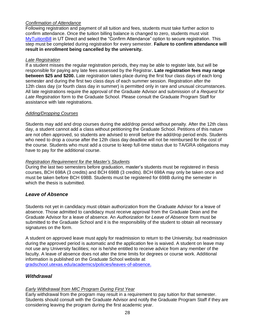#### <span id="page-27-0"></span>*Confirmation of Attendance*

Following registration and payment of all tuition and fees, students must take further action to confirm attendance. Once the tuition billing balance is changed to zero, students must visit [MyTuitionBill](https://utdirect.utexas.edu/acct/fb/my_tuition/my_tuition_home.WBX) in UT Direct and select the "Confirm Attendance" option to secure registration. This step must be completed during registration for every semester. **Failure to confirm attendance will result in enrollment being cancelled by the university.** 

#### <span id="page-27-1"></span>*Late Registration*

If a student misses the regular registration periods, they may be able to register late, but will be responsible for paying any late fees assessed by the Registrar**. Late registration fees may range between \$25 and \$200.** Late registration takes place during the first four class days of each long semester and during the first two class days of each summer session. Registration after the 12th class day (or fourth class day in summer) is permitted only in rare and unusual circumstances. All late registrations require the approval of the Graduate Advisor and submission of a *Request for Late Registration* form to the Graduate School. Please consult the Graduate Program Staff for assistance with late registrations.

#### <span id="page-27-2"></span>*Adding/Dropping Courses*

Students may add and drop courses during the add/drop period without penalty. After the 12th class day, a student cannot add a class without petitioning the Graduate School. Petitions of this nature are not often approved, so students are advised to enroll before the add/drop period ends. Students who need to drop a course after the 12th class day deadline will not be reimbursed for the cost of the course. Students who must add a course to keep full-time status due to TA/GRA obligations may have to pay for the additional course.

#### <span id="page-27-3"></span>*Registration Requirement for the Master's Students*

During the last two semesters before graduation, master's students must be registered in thesis courses, BCH 698A (3 credits) and BCH 698B (3 credits). BCH 698A may only be taken once and must be taken before BCH 698B. Students must be registered for 698B during the semester in which the thesis is submitted.

# <span id="page-27-4"></span>*Leave of Absence*

Students not yet in candidacy must obtain authorization from the Graduate Advisor for a leave of absence. Those admitted to candidacy must receive approval from the Graduate Dean and the Graduate Advisor for a leave of absence. An *Authorization for Leave of Absence* form must be submitted to the Graduate School and it is the responsibility of the student to obtain all necessary signatures on the form.

A student on approved leave must apply for readmission to return to the University, but readmission during the approved period is automatic and the application fee is waived. A student on leave may not use any University facilities; nor is he/she entitled to receive advice from any member of the faculty. A leave of absence does not alter the time limits for degrees or course work. Additional information is published on the Graduate School website at [gradschool.utexas.edu/academics/policies/leaves-of-absence.](https://gradschool.utexas.edu/academics/policies/leaves-of-absence.)

# <span id="page-27-5"></span>*Withdrawal*

# <span id="page-27-6"></span>*Early Withdrawal from MIC Program During First Year*

Early withdrawal from the program may result in a requirement to pay tuition for that semester. Students should consult with the Graduate Advisor and notify the Graduate Program Staff if they are considering leaving the program during the first academic year.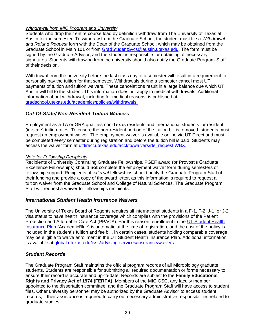#### <span id="page-28-0"></span>*Withdrawal from MIC Program and University*

Students who drop their entire course load by definition withdraw from The University of Texas at Austin for the semester. To withdraw from the Graduate School, the student must file a *Withdrawal and Refund Request* form with the Dean of the Graduate School, which may be obtained from the Graduate School in Main 101 or from [GradStudentSvcs@austin.utexas.edu.](mailto:GradStudentSvcs@austin.utexas.edu) The form must be signed by the Graduate Advisor, and the student is responsible for obtaining all necessary signatures. Students withdrawing from the university should also notify the Graduate Program Staff of their decision.

Withdrawal from the university before the last class day of a semester will result in a requirement to personally pay the tuition for that semester. Withdrawals during a semester cancel most UT payments of tuition and tuition waivers. These cancelations result in a large balance due which UT Austin will bill to the student. This information does not apply to medical withdrawals. Additional information about withdrawal, including for medical reasons, is published at [gradschool.utexas.edu/academics/policies/withdrawals.](https://gradschool.utexas.edu/academics/policies/withdrawals)

# <span id="page-28-1"></span>*Out-Of-State/ Non-Resident Tuition Waivers*

Employment as a TA or GRA qualifies non-Texas residents and international students for resident (in-state) tuition rates. To ensure the non-resident portion of the tuition bill is removed, students must request an employment waiver. The employment waiver is available online via UT Direct and must be completed *every* semester during registration and before the tuition bill is paid. Students may access the waiver form at [utdirect.utexas.edu/acct/fb/waivers/rte\\_request.WBX.](https://utdirect.utexas.edu/acct/fb/waivers/rte_request.WBX)

#### <span id="page-28-2"></span>*Note for Fellowship Recipients*

Recipients of University Continuing Graduate Fellowships, PGEF award (or Provost's Graduate Excellence Fellowships) should **not** complete the employment waiver form during semesters of fellowship support. Recipients of *external* fellowships should notify the Graduate Program Staff of their funding and provide a copy of the award letter, as this information is required to request a tuition waiver from the Graduate School and College of Natural Sciences. The Graduate Program Staff will request a waiver for fellowships recipients.

# <span id="page-28-3"></span>*International Student Health Insurance Waivers*

The University of Texas Board of Regents requires all international students in a F-1, F-2, J-1, or J-2 visa status to have health insurance coverage which complies with the provisions of the Patient Protection and Affordable Care Act (PPACA). For this reason, enrollment in the [UT Student Health](https://global.utexas.edu/global-offices/isss/advising-and-services/insurance/enroll)  [Insurance Plan](https://global.utexas.edu/global-offices/isss/advising-and-services/insurance/enroll) (AcademicBlue) is automatic at the time of registration, and the cost of the policy is included in the student's tuition and fee bill. In certain cases, students holding comparable coverage may be eligible to waive enrollment in the UT Student Health Insurance Plan. Additional information is available at [global.utexas.edu/isss/advising-services/insurance/waivers.](https://global.utexas.edu/isss/advising-services/insurance/waivers)

# <span id="page-28-4"></span>*Student Records*

The Graduate Program Staff maintains the official program records of all Microbiology graduate students. Students are responsible for submitting all required documentation or forms necessary to ensure their record is accurate and up-to-date. Records are subject to the **Family Educational Rights and Privacy Act of 1974 (FERPA).** Members of the MIC GSC, any faculty member appointed to the dissertation committee, and the Graduate Program Staff will have access to student files. Other university personnel may be authorized by the Graduate Advisor to access student records, if their assistance is required to carry out necessary administrative responsibilities related to graduate studies.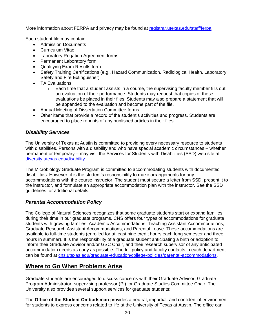More information about FERPA and privacy may be found at [registrar.utexas.edu/staff/ferpa.](https://registrar.utexas.edu/staff/ferpa)

Each student file may contain:

- Admission Documents
- Curriculum Vitae
- Laboratory Rogation Agreement forms
- Permanent Laboratory form
- Qualifying Exam Results form
- Safety Training Certifications (e.g., Hazard Communication, Radiological Health, Laboratory Safety and Fire Extinguisher)
- TA Evaluations
	- $\circ$  Each time that a student assists in a course, the supervising faculty member fills out an evaluation of their performance. Students may request that copies of these evaluations be placed in their files. Students may also prepare a statement that will be appended to the evaluation and become part of the file.
- Annual Meeting of Dissertation Committee forms
- Other items that provide a record of the student's activities and progress. Students are encouraged to place reprints of any published articles in their files.

# <span id="page-29-0"></span>*Disability Services*

The University of Texas at Austin is committed to providing every necessary resource to students with disabilities. Persons with a disability and who have special academic circumstances – whether permanent or temporary – may visit the Services for Students with Disabilities (SSD) web site at [diversity.utexas.edu/disability.](http://diversity.utexas.edu/disability/)

The Microbiology Graduate Program is committed to accommodating students with documented disabilities. However, it is the student's responsibility to make arrangements for any accommodations with the course instructor. The student must secure a letter from SSD, present it to the instructor, and formulate an appropriate accommodation plan with the instructor. See the SSD guidelines for additional details.

# <span id="page-29-1"></span>*Parental Accommodation Policy*

The College of Natural Sciences recognizes that some graduate students start or expand families during their time in our graduate programs. CNS offers four types of accommodations for graduate students with growing families: Academic Accommodations, Teaching Assistant Accommodations, Graduate Research Assistant Accommodations, and Parental Leave. These accommodations are available to full-time students (enrolled for at least nine credit hours each long semester and three hours in summer). It is the responsibility of a graduate student anticipating a birth or adoption to inform their Graduate Advisor and/or GSC Chair, and their research supervisor of any anticipated accommodation needs as early as possible. The full policy and faculty contacts in each department can be found at [cns.utexas.edu/graduate-education/college-policies/parental-accommodations.](https://cns.utexas.edu/graduate-education/college-policies/parental-accommodations)

# <span id="page-29-2"></span>**Where to Go When Problems Arise**

Graduate students are encouraged to discuss concerns with their Graduate Advisor, Graduate Program Administrator, supervising professor (PI), or Graduate Studies Committee Chair. The University also provides several support services for graduate students:

The **Office of the Student Ombudsman** provides a neutral, impartial, and confidential environment for students to express concerns related to life at the University of Texas at Austin. The office can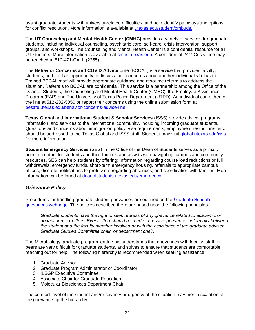assist graduate students with university-related difficulties, and help identify pathways and options for conflict resolution. More information is available at [utexas.edu/student/ombuds.](http://www.utexas.edu/student/ombuds/)

The **UT Counseling and Mental Health Center (CMHC)** provides a variety of services for graduate students, including individual counseling, psychiatric care, self-care, crisis intervention, support groups, and workshops. The Counseling and Mental Health Center is a confidential resource for all UT students. More information is available at [cmhc.utexas.edu.](http://www.cmhc.utexas.edu/) A confidential 24/7 Crisis Line may be reached at 512-471-CALL (2255).

The **Behavior Concerns and COVID Advice Line** (BCCAL) is a service that provides faculty, students, and staff an opportunity to discuss their concerns about another individual's behavior. Trained BCCAL staff will provide appropriate guidance and resource referrals to address the situation. Referrals to BCCAL are confidential. This service is a partnership among the Office of the Dean of Students, the Counseling and Mental Health Center (CMHC), the Employee Assistance Program (EAP) and The University of Texas Police Department (UTPD). An individual can either call the line at 512-232-5050 or report their concerns using the online submission form at [besafe.utexas.edu/behavior-concerns-advice-line.](https://besafe.utexas.edu/behavior-concerns-advice-line)

**Texas Global** and **International Student & Scholar Services** (ISSS) provide advice, programs, information, and services to the international community, including incoming graduate students. Questions and concerns about immigration policy, visa requirements, employment restrictions, etc. should be addressed to the Texas Global and ISSS staff. Students may visit [global.utexas.edu/isss](https://global.utexas.edu/isss) for more information.

**Student Emergency Services** (SES) in the Office of the Dean of Students serves as a primary point of contact for students and their families and assists with navigating campus and community resources. SES can help students by offering: information regarding course load reductions or full withdrawals, emergency funds, short-term emergency housing, referrals to appropriate campus offices, discrete notifications to professors regarding absences, and coordination with families. More information can be found at [deanofstudents.utexas.edu/emergency.](http://deanofstudents.utexas.edu/emergency/)

# <span id="page-30-0"></span>*Grievance Policy*

Procedures for handling graduate student grievances are outlined on the [Graduate School's](https://gradschool.utexas.edu/academics/policies/grievances)  [grievances webpage.](https://gradschool.utexas.edu/academics/policies/grievances) The policies described there are based upon the following principles:

*Graduate students have the right to seek redress of any grievance related to academic or nonacademic matters. Every effort should be made to resolve grievances informally between the student and the faculty member involved or with the assistance of the graduate adviser, Graduate Studies Committee chair, or department chair.*

The Microbiology graduate program leadership understands that grievances with faculty, staff, or peers are very difficult for graduate students, and strives to ensure that students are comfortable reaching out for help. The following hierarchy is recommended when seeking assistance:

- 1. Graduate Advisor
- 2. Graduate Program Administrator or Coordinator
- 3. ILSGP Executive Committee
- 4. Associate Chair for Graduate Education
- 5. Molecular Biosciences Department Chair

The comfort-level of the student and/or severity or urgency of the situation may merit escalation of the grievance up the hierarchy.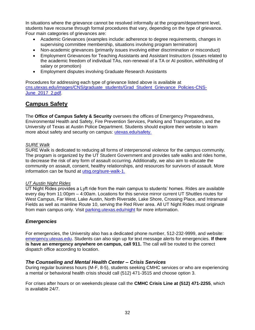In situations where the grievance cannot be resolved informally at the program/department level, students have recourse through formal procedures that vary, depending on the type of grievance. Four main categories of grievances are:

- Academic Grievances (examples include: adherence to degree requirements, changes in supervising committee membership, situations involving program termination)
- Non-academic grievances (primarily issues involving either discrimination or misconduct)
- Employment Grievances for Teaching Assistants and Assistant Instructors (issues related to the academic freedom of individual TAs, non-renewal of a TA or AI position, withholding of salary or promotion)
- Employment disputes involving Graduate Research Assistants

Procedures for addressing each type of grievance listed above is available at [cns.utexas.edu/images/CNS/graduate\\_students/Grad\\_Student\\_Grievance\\_Policies-CNS-](https://cns.utexas.edu/images/CNS/graduate_students/Grad_Student_Grievance_Policies-CNS-June_2017_2.pdf)[June\\_2017\\_2.pdf.](https://cns.utexas.edu/images/CNS/graduate_students/Grad_Student_Grievance_Policies-CNS-June_2017_2.pdf)

# <span id="page-31-0"></span>**Campus Safety**

The **Office of Campus Safety & Security** oversees the offices of Emergency Preparedness, Environmental Health and Safety, Fire Prevention Services, Parking and Transportation, and the University of Texas at Austin Police Department. Students should explore their website to learn more about safety and security on campus: [utexas.edu/safety.](http://www.utexas.edu/safety/)

# <span id="page-31-1"></span>*SURE Walk*

SURE Walk is dedicated to reducing all forms of interpersonal violence for the campus community. The program is organized by the UT Student Government and provides safe walks and rides home, to decrease the risk of any form of assault occurring. Additionally, we also aim to educate the community on assault, consent, healthy relationships, and resources for survivors of assault. More information can be found at [utsg.org/sure-walk-1.](https://www.utsg.org/sure-walk-1)

# <span id="page-31-2"></span>*UT Austin Night Rides*

UT Night Rides provides a Lyft ride from the main campus to students' homes. Rides are available every day from 11:00pm – 4:00am. Locations for this service mirror current UT Shuttles routes for West Campus, Far West, Lake Austin, North Riverside, Lake Shore, Crossing Place, and Intramural Fields as well as mainline Route 10, serving the Red River area. All UT Night Rides must originate from main campus only. Visit [parking.utexas.edu/night](https://parking.utexas.edu/night) for more information.

# <span id="page-31-3"></span>*Emergencies*

For emergencies, the University also has a dedicated phone number, 512-232-9999, and website: [emergency.utexas.edu.](https://emergency.utexas.edu/) Students can also sign up for text message alerts for emergencies. **If there is have an emergency anywhere on campus, call 911.** The call will be routed to the correct dispatch office according to location.

# <span id="page-31-4"></span>*The Counseling and Mental Health Center – Crisis Services*

During regular business hours (M-F, 8-5), students seeking CMHC services or who are experiencing a mental or behavioral health crisis should call (512) 471-3515 and choose option 3.

For crises after hours or on weekends please call the **CMHC Crisis Line at (512) 471-2255**, which is available 24/7.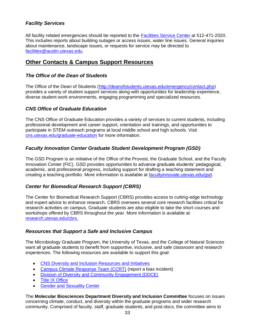# <span id="page-32-0"></span>*Facility Services*

All facility related emergencies should be reported to the [Facilities Service Center](https://facilitiesservices.utexas.edu/facilities-service-center) at 512-471-2020. This includes reports about building outages or access issues, water line issues. General inquiries about maintenance, landscape issues, or requests for service may be directed to [facilities@austin.utexas.edu.](mailto:facilities@austin.utexas.edu)

# <span id="page-32-1"></span>**Other Contacts & Campus Support Resources**

#### <span id="page-32-2"></span>*The Office of the Dean of Students*

The Office of the Dean of Students [\(http://deanofstudents.utexas.edu/emergency/contact.php\)](http://deanofstudents.utexas.edu/emergency/contact.php))  provides a variety of student support services along with opportunities for leadership experience, diverse student work environments, engaging programming and specialized resources.

#### <span id="page-32-3"></span>*CNS Office of Graduate Education*

The CNS Office of Graduate Education provides a variety of services to current students, including professional development and career support, orientation and trainings, and opportunities to participate in STEM outreach programs at local middle school and high schools. Visit [cns.utexas.edu/graduate-education](https://cns.utexas.edu/graduate-education) for more information.

# <span id="page-32-4"></span>*Faculty Innovation Center Graduate Student Development Program (GSD)*

The GSD Program is an initiative of the Office of the Provost, the Graduate School, and the Faculty Innovation Center (FIC). GSD provides opportunities to advance graduate students' pedagogical, academic, and professional progress, including support for drafting a teaching statement and creating a teaching portfolio. More information is available at [facultyinnovate.utexas.edu/gsd.](https://facultyinnovate.utexas.edu/gsd)

# <span id="page-32-5"></span>*Center for Biomedical Research Support (CBRS)*

The Center for Biomedical Research Support (CBRS) provides access to cutting-edge technology and expert advice to enhance research. CBRS oversees several core research facilities critical for research activities on campus. Graduate students are also eligible to take the short courses and workshops offered by CBRS throughout the year. More information is available at [research.utexas.edu/cbrs.](https://research.utexas.edu/cbrs/)

#### <span id="page-32-6"></span>*Resources that Support a Safe and Inclusive Campus*

The Microbiology Graduate Program, the University of Texas, and the College of Natural Sciences want all graduate students to benefit from supportive, inclusive, and safe classroom and research experiences. The following resources are available to support this goal:

- [CNS Diversity and Inclusion Resources and Initiatives](https://cns.utexas.edu/diversity/resources-initiatives)
- [Campus Climate Response Team \(CCRT\)](https://cns.utexas.edu/graduate-education/resources-for-grad-students/safe-inclusive-campus#CampusClimateResponse) (report a bias incident)
- [Division of Diversity and Community Engagement \(DDCE\)](https://diversity.utexas.edu/)
- [Title IX Office](https://cns.utexas.edu/graduate-education/resources-for-grad-students/safe-inclusive-campus#TitleIX)
- [Gender and Sexuality Center](https://cns.utexas.edu/graduate-education/resources-for-grad-students/safe-inclusive-campus#GenderSexuality)

The **Molecular Biosciences Department Diversity and Inclusion Committee** focuses on issues concerning climate, conduct, and diversity within the graduate programs and wider research community. Comprised of faculty, staff, graduate students, and post-docs, the committee aims to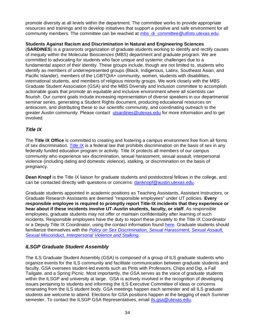promote diversity at all levels within the department. The committee works to provide appropriate resources and trainings and to develop initiatives that support a positive and safe environment for all community members. The committee can be reached at [mbs\\_di\\_committee@utlists.utexas.edu.](mailto:mbs_di_committee@utlists.utexas.edu)

# **Students Against Racism and Discrimination in Natural and Engineering Sciences**

(**SARDINES**) is a grassroots organization of graduate students working to identify and rectify causes of inequity within the Molecular Biosciences (MBS) department and graduate program. We are committed to advocating for students who face unique and systemic challenges due to a fundamental aspect of their identity. These groups include, though are not limited to, students who identify as members of underrepresented groups (Black, Indigenous, Latinx, Southeast Asian, and Pacific Islander), members of the LGBTQIA+ community, women, students with disabilities, international students, and members of religious minority groups. We work closely with the MBS Graduate Student Association (GSA) and the MBS Diversity and Inclusion committee to accomplish actionable goals that promote an equitable and inclusive environment where all scientists can flourish. Our current goals include increasing representation of diverse speakers in our departmental seminar series, generating a Student Rights document, producing educational resources on antiracism, and distributing these to our scientific community, and coordinating outreach to the greater Austin community. Please contact [utsardines@utexas.edu](mailto:utsardines@utexas.edu) for more information and to get involved.

# <span id="page-33-0"></span>*Title IX*

The **Title IX Office** is committed to creating and fostering a campus environment free from all forms of sex discrimination. [Title IX](https://titleix.utexas.edu/what-is-title-ix) is a federal law that prohibits discrimination on the basis of sex in any federally funded education program or activity. Title IX protects all members of our campus community who experience sex discrimination, sexual harassment, sexual assault, interpersonal violence (including dating and domestic violence), stalking, or discrimination on the basis of pregnancy.

**Dean Knopf** is the Title IX liaison for graduate students and postdoctoral fellows in the college, and can be contacted directly with questions or concerns: [danknopf@austin.utexas.edu.](mailto:danknopf@austin.utexas.edu?subject=Title%20IX%20concern)

Graduate students appointed in academic positions as Teaching Assistants, Assistant Instructors, or Graduate Research Assistants are deemed "responsible employees" under UT policies. **Every responsible employee is required to promptly report Title-IX incidents that they experience or hear about if these incidents involve UT-Austin students, faculty, or staff**. As responsible employees, graduate students may not offer or maintain confidentiality after learning of such incidents. Responsible employees have the duty to report these privately to the Title IX Coordinator or a Deputy Title IX Coordinator, using the contact information found [here.](https://titleix.utexas.edu/contact-us/) Graduate students should familiarize themselves with the *[Policy on Sex Discrimination, Sexual Harassment, Sexual Assault,](http://catalog.utexas.edu/general-information/appendices/appendix-d/)  [Sexual Misconduct, Interpersonal Violence and Stalking](http://catalog.utexas.edu/general-information/appendices/appendix-d/)*.

# <span id="page-33-1"></span>*ILSGP Graduate Student Assembly*

The ILS Graduate Student Assembly (GSA) is composed of a group of ILS graduate students who organize events for the ILS community and facilitate communication between graduate students and faculty. GSA oversees student-led events such as Pints with Professors, Chips and Dip, a Fall Tailgate, and a Spring Picnic. Most importantly, the GSA serves as the voice of graduate students within the ILSGP and university at large. GSA is actively involved in the recognition of developing issues pertaining to students and informing the ILS Executive Committee of ideas or concerns emanating from the ILS student body. GSA meetings happen each semester and all ILS graduate students are welcome to attend. Elections for GSA positions happen at the begging of each Summer semester. To contact the ILSGP GSA Representatives, email [ils.gsa@utexas.edu.](mailto:ils.gsa@utexas.edu)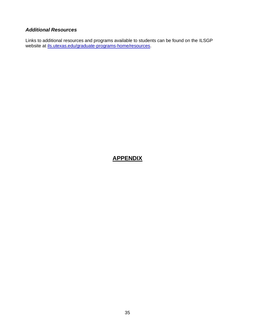# <span id="page-34-0"></span>*Additional Resources*

Links to additional resources and programs available to students can be found on the ILSGP website at [ils.utexas.edu/graduate-programs-home/resources.](https://ils.utexas.edu/graduate-programs-home/resources)

# <span id="page-34-1"></span>**APPENDIX**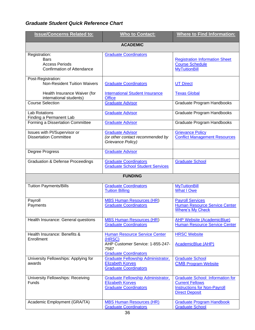# <span id="page-35-0"></span>*Graduate Student Quick Reference Chart*

| <b>Issue/Concerns Related to:</b>                                                          | <b>Who to Contact:</b>                                                                                                     | <b>Where to Find Information:</b>                                                                                                 |  |  |
|--------------------------------------------------------------------------------------------|----------------------------------------------------------------------------------------------------------------------------|-----------------------------------------------------------------------------------------------------------------------------------|--|--|
| <b>ACADEMIC</b>                                                                            |                                                                                                                            |                                                                                                                                   |  |  |
| Registration:<br><b>Bars</b><br><b>Access Periods</b><br><b>Confirmation of Attendance</b> | <b>Graduate Coordinators</b>                                                                                               | <b>Registration Information Sheet</b><br><b>Course Schedule</b><br><b>MyTuitionBill</b>                                           |  |  |
| Post-Registration:<br><b>Non-Resident Tuition Waivers</b>                                  | <b>Graduate Coordinators</b>                                                                                               | <b>UT Direct</b>                                                                                                                  |  |  |
| Health Insurance Waiver (for<br>international students)                                    | <b>International Student Insurance</b><br><b>Office</b>                                                                    | <b>Texas Global</b>                                                                                                               |  |  |
| <b>Course Selection</b>                                                                    | <b>Graduate Advisor</b>                                                                                                    | Graduate Program Handbooks                                                                                                        |  |  |
| <b>Lab Rotations</b><br>Finding a Permanent Lab                                            | <b>Graduate Advisor</b>                                                                                                    | Graduate Program Handbooks                                                                                                        |  |  |
| Forming a Dissertation Committee                                                           | <b>Graduate Advisor</b>                                                                                                    | Graduate Program Handbooks                                                                                                        |  |  |
| Issues with PI/Supervisor or<br><b>Dissertation Committee</b>                              | <b>Graduate Advisor</b><br>(or other contact recommended by<br>Grievance Policy)                                           | <b>Grievance Policy</b><br><b>Conflict Management Resources</b>                                                                   |  |  |
| Degree Progress                                                                            | <b>Graduate Advisor</b>                                                                                                    |                                                                                                                                   |  |  |
| <b>Graduation &amp; Defense Proceedings</b>                                                | <b>Graduate Coordinators</b><br><b>Graduate School Student Services</b>                                                    | <b>Graduate School</b>                                                                                                            |  |  |
| <b>FUNDING</b>                                                                             |                                                                                                                            |                                                                                                                                   |  |  |
| <b>Tuition Payments/Bills</b>                                                              | <b>Graduate Coordinators</b><br><b>Tuition Billing</b>                                                                     | <b>MyTuitionBill</b><br><b>What I Owe</b>                                                                                         |  |  |
| Payroll<br>Payments                                                                        | <b>MBS Human Resources (HR)</b><br><b>Graduate Coordinators</b>                                                            | <b>Payroll Services</b><br>Human Resource Service Center<br><b>Where's My Check</b>                                               |  |  |
| Health Insurance: General questions                                                        | <b>MBS Human Resources (HR)</b><br><b>Graduate Coordinators</b>                                                            | <b>AHP Website (AcademicBlue)</b><br><b>Human Resource Service Center</b>                                                         |  |  |
| Health Insurance: Benefits &<br>Enrollment                                                 | <b>Human Resource Service Center</b><br>(HRSC)<br>AHP Customer Service: 1-855-247-<br>7587<br><b>Graduate Coordinators</b> | <b>HRSC Website</b><br>AcademicBlue (AHP)                                                                                         |  |  |
| University Fellowships: Applying for<br>awards                                             | <b>Graduate Fellowship Administrator,</b><br><b>Elizabeth Korves</b><br><b>Graduate Coordinators</b>                       | <b>Graduate School</b><br><b>CMB Program Website</b>                                                                              |  |  |
| University Fellowships: Receiving<br><b>Funds</b>                                          | <b>Graduate Fellowship Administrator,</b><br><b>Elizabeth Korves</b><br><b>Graduate Coordinators</b>                       | <b>Graduate School: Information for</b><br><b>Current Fellows</b><br><b>Instructions for Non-Payroll</b><br><b>Direct Deposit</b> |  |  |
| Academic Employment (GRA/TA)                                                               | <b>MBS Human Resources (HR)</b><br><b>Graduate Coordinators</b>                                                            | <b>Graduate Program Handbook</b><br><b>Graduate School</b>                                                                        |  |  |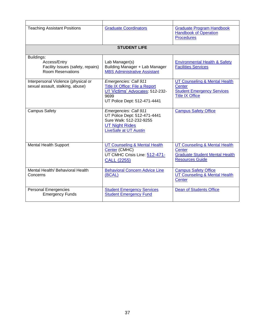| <b>Teaching Assistant Positions</b>                           | <b>Graduate Coordinators</b>                                          | <b>Graduate Program Handbook</b><br><b>Handbook of Operation</b><br><b>Procedures</b> |  |  |
|---------------------------------------------------------------|-----------------------------------------------------------------------|---------------------------------------------------------------------------------------|--|--|
| <b>STUDENT LIFE</b>                                           |                                                                       |                                                                                       |  |  |
| Buildings:                                                    |                                                                       |                                                                                       |  |  |
| Access/Entry                                                  | Lab Manager(s)                                                        | <b>Environmental Health &amp; Safety</b>                                              |  |  |
| Facility Issues (safety, repairs)<br><b>Room Reservations</b> | Building Manager + Lab Manager<br><b>MBS Administrative Assistant</b> | <b>Facilities Services</b>                                                            |  |  |
| Interpersonal Violence (physical or                           | Emergencies: Call 911                                                 | <b>UT Counseling &amp; Mental Health</b>                                              |  |  |
| sexual assault, stalking, abuse)                              | Title IX Office: File a Report                                        | Center                                                                                |  |  |
|                                                               | UT Victims' Advocates: 512-232-<br>9699                               | <b>Student Emergency Services</b><br><b>Title IX Office</b>                           |  |  |
|                                                               | UT Police Dept: 512-471-4441                                          |                                                                                       |  |  |
| <b>Campus Safety</b>                                          | Emergencies: Call 911                                                 | <b>Campus Safety Office</b>                                                           |  |  |
|                                                               | UT Police Dept: 512-471-4441<br>Sure Walk: 512-232-9255               |                                                                                       |  |  |
|                                                               | <b>UT Night Rides</b>                                                 |                                                                                       |  |  |
|                                                               | <b>LiveSafe at UT Austin</b>                                          |                                                                                       |  |  |
|                                                               |                                                                       |                                                                                       |  |  |
| <b>Mental Health Support</b>                                  | <b>UT Counseling &amp; Mental Health</b>                              | <b>UT Counseling &amp; Mental Health</b>                                              |  |  |
|                                                               | Center (CMHC)                                                         | <b>Center</b><br><b>Graduate Student Mental Health</b>                                |  |  |
|                                                               | UT CMHC Crisis Line: 512-471-<br><b>CALL (2255)</b>                   | <b>Resources Guide</b>                                                                |  |  |
|                                                               |                                                                       |                                                                                       |  |  |
| Mental Health/ Behavioral Health                              | <b>Behavioral Concern Advice Line</b>                                 | <b>Campus Safety Office</b>                                                           |  |  |
| Concerns                                                      | (BCAL)                                                                | UT Counseling & Mental Health<br>Center                                               |  |  |
|                                                               |                                                                       |                                                                                       |  |  |
| <b>Personal Emergencies</b>                                   | <b>Student Emergency Services</b>                                     | <b>Dean of Students Office</b>                                                        |  |  |
| <b>Emergency Funds</b>                                        | <b>Student Emergency Fund</b>                                         |                                                                                       |  |  |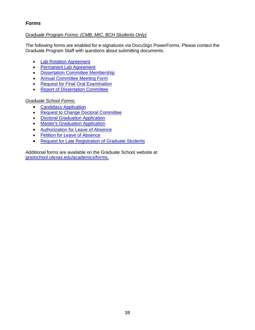# <span id="page-37-0"></span>*Forms*

#### *Graduate Program Forms: (CMB, MIC, BCH Students Only)*

The following forms are enabled for e-signatures via DocuSign PowerForms. Please contact the Graduate Program Staff with questions about submitting documents.

- [Lab Rotation Agreement](https://www.docusign.net/Member/PowerFormSigning.aspx?PowerFormId=ecc326d3-c537-4334-9c76-a4fc7118ed2a&env=na1&acct=d40a37d5-d708-44dd-9ea7-aab378b81326&v=2)
- [Permanent Lab Agreement](https://www.docusign.net/Member/PowerFormSigning.aspx?PowerFormId=1e307180-9174-49c7-8da9-63658977168b&env=na1&acct=d40a37d5-d708-44dd-9ea7-aab378b81326&v=2)
- [Dissertation Committee Membership](https://www.docusign.net/Member/PowerFormSigning.aspx?PowerFormId=6b5c058b-ebdf-4547-b55b-544c5f1fdd8c&env=na1&acct=d40a37d5-d708-44dd-9ea7-aab378b81326&v=2)
- [Annual Committee Meeting Form](https://www.docusign.net/Member/PowerFormSigning.aspx?PowerFormId=327c3a07-0b8b-4e4f-a368-5d2d19c998f7&env=na1&acct=d40a37d5-d708-44dd-9ea7-aab378b81326&v=2)
- [Request for Final Oral Examination](https://www.docusign.net/Member/PowerFormSigning.aspx?PowerFormId=a44046c0-2ec1-4352-9053-fe444190e601&env=na1&acct=d40a37d5-d708-44dd-9ea7-aab378b81326&v=2)
- [Report of Dissertation Committee](https://www.docusign.net/Member/PowerFormSigning.aspx?PowerFormId=78c74007-5b76-4b27-9d4b-1da71172f3e6&env=na1&acct=d40a37d5-d708-44dd-9ea7-aab378b81326&v=2)

#### *Graduate School Forms:*

- [Candidacy Application](https://utdirect.utexas.edu/ogs/forms/candidacy/app.WBX?intro_type=D)
- [Request to Change Doctoral Committee](https://utexas.box.com/shared/static/hrfsf6651mjwst02l51tzdh902u1gdds.pdf)
- [Doctoral Graduation Application](https://utdirect.utexas.edu/ogs/forms/gradform/dgr1.WBX)
- [Master's Graduation Application](https://utdirect.utexas.edu/ogs/forms/candidacy/app.WBX?intro_type=D)
- [Authorization for Leave of Absence](https://utexas.box.com/shared/static/t5l3v4j2y73nq4xdwb0j4wcwuk3cticy.pdf)
- [Petition for Leave of Absence](https://utexas.box.com/shared/static/e6t5w8ga1vimat7760aetn3rdth0dhvj.pdf)
- [Request for Late Registration of Graduate Students](https://utexas.box.com/shared/static/t7x1iu0dgr9xjy3qud65rtscxjdv3d6h.pdf)

Additional forms are available on the Graduate School website at [gradschool.utexas.edu/academics/forms.](https://gradschool.utexas.edu/academics/forms)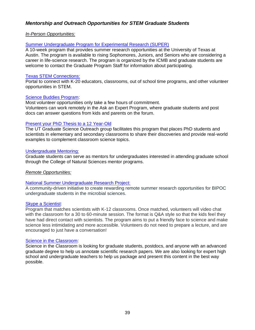# <span id="page-38-0"></span>*Mentorship and Outreach Opportunities for STEM Graduate Students*

#### *In-Person Opportunities:*

#### [Summer Undergraduate Program for Experimental Research \(SUPER\)](https://icmb.utexas.edu/about/summer-undergraduate-research)

A 10-week program that provides summer research opportunities at the University of Texas at Austin. The program is available to rising Sophomores, Juniors, and Seniors who are considering a career in life-science research. The program is organized by the ICMB and graduate students are welcome to contact the Graduate Program Staff for information about participating.

#### [Texas STEM Connections:](https://greateraustinstemecosystem.org/texas-stem-connections/)

Portal to connect with K-20 educators, classrooms, out of school time programs, and other volunteer opportunities in STEM.

#### [Science Buddies Program:](https://www.sciencebuddies.org/about/how-to-volunteer)

Most volunteer opportunities only take a few hours of commitment. Volunteers can work remotely in the Ask an Expert Program, where graduate students and post docs can answer questions from kids and parents on the forum.

#### [Present your PhD Thesis to a 12 Year-Old](https://gradschool.utexas.edu/academics/research/present-your-phd-to-a-12-year-old-project)

The UT Graduate Science Outreach group facilitates this program that places PhD students and scientists in elementary and secondary classrooms to share their discoveries and provide real-world examples to complement classroom science topics.

#### [Undergraduate Mentoring:](https://cns.utexas.edu/graduate-education/outreach-opportunities)

Graduate students can serve as mentors for undergraduates interested in attending graduate school through the College of Natural Sciences mentor programs.

#### *Remote Opportunities:*

#### [National Summer Undergraduate Research Project:](https://nsurp.org/)

A community-driven initiative to create rewarding remote summer research opportunities for BIPOC undergraduate students in the microbial sciences.

#### [Skype a Scientist:](https://www.skypeascientist.com/)

Program that matches scientists with K-12 classrooms. Once matched, volunteers will video chat with the classroom for a 30 to 60-minute session. The format is Q&A style so that the kids feel they have had direct contact with scientists. The program aims to put a friendly face to science and make science less intimidating and more accessible. Volunteers do not need to prepare a lecture, and are encouraged to just have a conversation!

#### [Science in the Classroom:](https://www.scienceintheclassroom.org/volunteer)

Science in the Classroom is looking for graduate students, postdocs, and anyone with an advanced graduate degree to help us annotate scientific research papers. We are also looking for expert high school and undergraduate teachers to help us package and present this content in the best way possible.